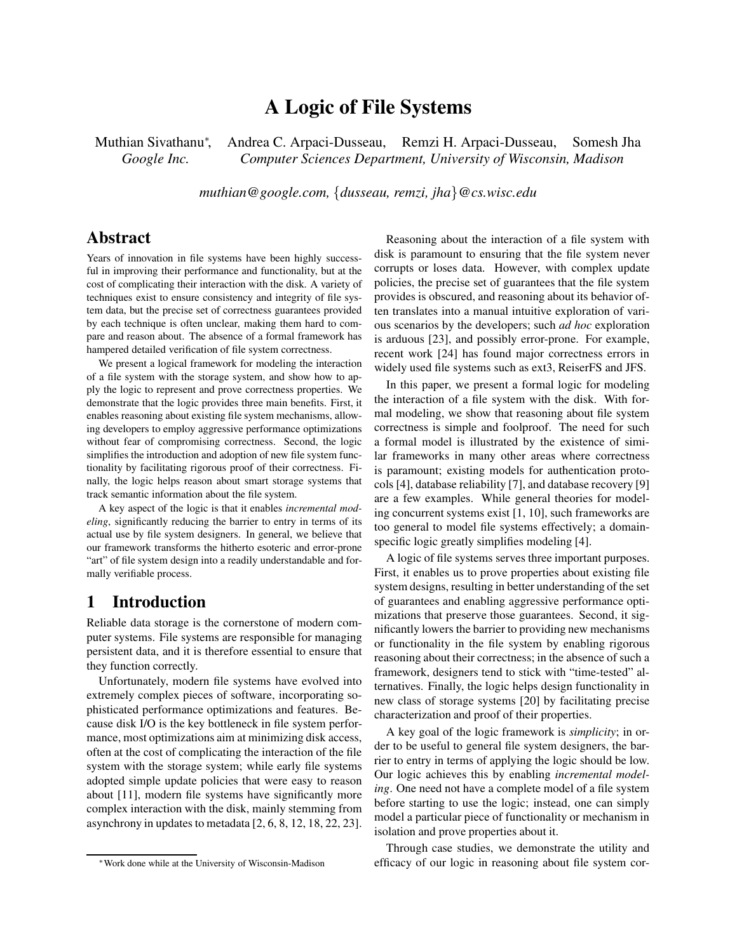# **A Logic of File Systems**

Muthian Sivathanu<sup>\*</sup>. , Andrea C. Arpaci-Dusseau, Remzi H. Arpaci-Dusseau, Somesh Jha *Google Inc. Computer Sciences Department, University of Wisconsin, Madison*

*muthian@google.com,* {*dusseau, remzi, jha*}*@cs.wisc.edu*

## **Abstract**

Years of innovation in file systems have been highly successful in improving their performance and functionality, but at the cost of complicating their interaction with the disk. A variety of techniques exist to ensure consistency and integrity of file system data, but the precise set of correctness guarantees provided by each technique is often unclear, making them hard to compare and reason about. The absence of a formal framework has hampered detailed verification of file system correctness.

We present a logical framework for modeling the interaction of a file system with the storage system, and show how to apply the logic to represent and prove correctness properties. We demonstrate that the logic provides three main benefits. First, it enables reasoning about existing file system mechanisms, allowing developers to employ aggressive performance optimizations without fear of compromising correctness. Second, the logic simplifies the introduction and adoption of new file system functionality by facilitating rigorous proof of their correctness. Finally, the logic helps reason about smart storage systems that track semantic information about the file system.

A key aspect of the logic is that it enables *incremental modeling*, significantly reducing the barrier to entry in terms of its actual use by file system designers. In general, we believe that our framework transforms the hitherto esoteric and error-prone "art" of file system design into a readily understandable and formally verifiable process.

## **1 Introduction**

Reliable data storage is the cornerstone of modern computer systems. File systems are responsible for managing persistent data, and it is therefore essential to ensure that they function correctly.

Unfortunately, modern file systems have evolved into extremely complex pieces of software, incorporating sophisticated performance optimizations and features. Because disk I/O is the key bottleneck in file system performance, most optimizations aim at minimizing disk access, often at the cost of complicating the interaction of the file system with the storage system; while early file systems adopted simple update policies that were easy to reason about [11], modern file systems have significantly more complex interaction with the disk, mainly stemming from asynchrony in updates to metadata [2, 6, 8, 12, 18, 22, 23].

Reasoning about the interaction of a file system with disk is paramount to ensuring that the file system never corrupts or loses data. However, with complex update policies, the precise set of guarantees that the file system provides is obscured, and reasoning about its behavior often translates into a manual intuitive exploration of various scenarios by the developers; such *ad hoc* exploration is arduous [23], and possibly error-prone. For example, recent work [24] has found major correctness errors in widely used file systems such as ext3, ReiserFS and JFS.

In this paper, we present a formal logic for modeling the interaction of a file system with the disk. With formal modeling, we show that reasoning about file system correctness is simple and foolproof. The need for such a formal model is illustrated by the existence of similar frameworks in many other areas where correctness is paramount; existing models for authentication protocols [4], database reliability [7], and database recovery [9] are a few examples. While general theories for modeling concurrent systems exist [1, 10], such frameworks are too general to model file systems effectively; a domainspecific logic greatly simplifies modeling [4].

A logic of file systems serves three important purposes. First, it enables us to prove properties about existing file system designs, resulting in better understanding of the set of guarantees and enabling aggressive performance optimizations that preserve those guarantees. Second, it significantly lowers the barrier to providing new mechanisms or functionality in the file system by enabling rigorous reasoning about their correctness; in the absence of such a framework, designers tend to stick with "time-tested" alternatives. Finally, the logic helps design functionality in new class of storage systems [20] by facilitating precise characterization and proof of their properties.

A key goal of the logic framework is *simplicity*; in order to be useful to general file system designers, the barrier to entry in terms of applying the logic should be low. Our logic achieves this by enabling *incremental modeling*. One need not have a complete model of a file system before starting to use the logic; instead, one can simply model a particular piece of functionality or mechanism in isolation and prove properties about it.

Through case studies, we demonstrate the utility and efficacy of our logic in reasoning about file system cor-

<sup>∗</sup>Work done while at the University of Wisconsin-Madison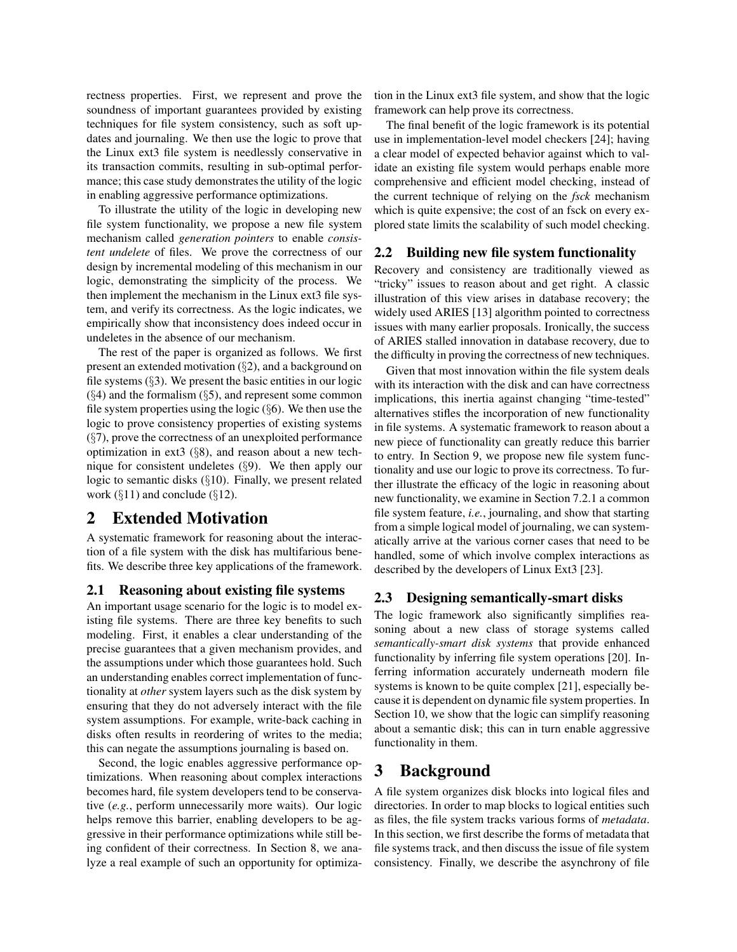rectness properties. First, we represent and prove the soundness of important guarantees provided by existing techniques for file system consistency, such as soft updates and journaling. We then use the logic to prove that the Linux ext3 file system is needlessly conservative in its transaction commits, resulting in sub-optimal performance; this case study demonstrates the utility of the logic in enabling aggressive performance optimizations.

To illustrate the utility of the logic in developing new file system functionality, we propose a new file system mechanism called *generation pointers* to enable *consistent undelete* of files. We prove the correctness of our design by incremental modeling of this mechanism in our logic, demonstrating the simplicity of the process. We then implement the mechanism in the Linux ext3 file system, and verify its correctness. As the logic indicates, we empirically show that inconsistency does indeed occur in undeletes in the absence of our mechanism.

The rest of the paper is organized as follows. We first present an extended motivation (§2), and a background on file systems  $(\S$ 3). We present the basic entities in our logic  $(\S 4)$  and the formalism  $(\S 5)$ , and represent some common file system properties using the logic  $(\S 6)$ . We then use the logic to prove consistency properties of existing systems  $(\S7)$ , prove the correctness of an unexploited performance optimization in ext3  $(\S 8)$ , and reason about a new technique for consistent undeletes (§9). We then apply our logic to semantic disks (§10). Finally, we present related work  $(\S11)$  and conclude  $(\S12)$ .

## **2 Extended Motivation**

A systematic framework for reasoning about the interaction of a file system with the disk has multifarious benefits. We describe three key applications of the framework.

## **2.1 Reasoning about existing file systems**

An important usage scenario for the logic is to model existing file systems. There are three key benefits to such modeling. First, it enables a clear understanding of the precise guarantees that a given mechanism provides, and the assumptions under which those guarantees hold. Such an understanding enables correct implementation of functionality at *other* system layers such as the disk system by ensuring that they do not adversely interact with the file system assumptions. For example, write-back caching in disks often results in reordering of writes to the media; this can negate the assumptions journaling is based on.

Second, the logic enables aggressive performance optimizations. When reasoning about complex interactions becomes hard, file system developers tend to be conservative (*e.g.*, perform unnecessarily more waits). Our logic helps remove this barrier, enabling developers to be aggressive in their performance optimizations while still being confident of their correctness. In Section 8, we analyze a real example of such an opportunity for optimization in the Linux ext3 file system, and show that the logic framework can help prove its correctness.

The final benefit of the logic framework is its potential use in implementation-level model checkers [24]; having a clear model of expected behavior against which to validate an existing file system would perhaps enable more comprehensive and efficient model checking, instead of the current technique of relying on the *fsck* mechanism which is quite expensive; the cost of an fsck on every explored state limits the scalability of such model checking.

## **2.2 Building new file system functionality**

Recovery and consistency are traditionally viewed as "tricky" issues to reason about and get right. A classic illustration of this view arises in database recovery; the widely used ARIES [13] algorithm pointed to correctness issues with many earlier proposals. Ironically, the success of ARIES stalled innovation in database recovery, due to the difficulty in proving the correctness of new techniques.

Given that most innovation within the file system deals with its interaction with the disk and can have correctness implications, this inertia against changing "time-tested" alternatives stifles the incorporation of new functionality in file systems. A systematic framework to reason about a new piece of functionality can greatly reduce this barrier to entry. In Section 9, we propose new file system functionality and use our logic to prove its correctness. To further illustrate the efficacy of the logic in reasoning about new functionality, we examine in Section 7.2.1 a common file system feature, *i.e.*, journaling, and show that starting from a simple logical model of journaling, we can systematically arrive at the various corner cases that need to be handled, some of which involve complex interactions as described by the developers of Linux Ext3 [23].

## **2.3 Designing semantically-smart disks**

The logic framework also significantly simplifies reasoning about a new class of storage systems called *semantically-smart disk systems* that provide enhanced functionality by inferring file system operations [20]. Inferring information accurately underneath modern file systems is known to be quite complex [21], especially because it is dependent on dynamic file system properties. In Section 10, we show that the logic can simplify reasoning about a semantic disk; this can in turn enable aggressive functionality in them.

## **3 Background**

A file system organizes disk blocks into logical files and directories. In order to map blocks to logical entities such as files, the file system tracks various forms of *metadata*. In this section, we first describe the forms of metadata that file systems track, and then discuss the issue of file system consistency. Finally, we describe the asynchrony of file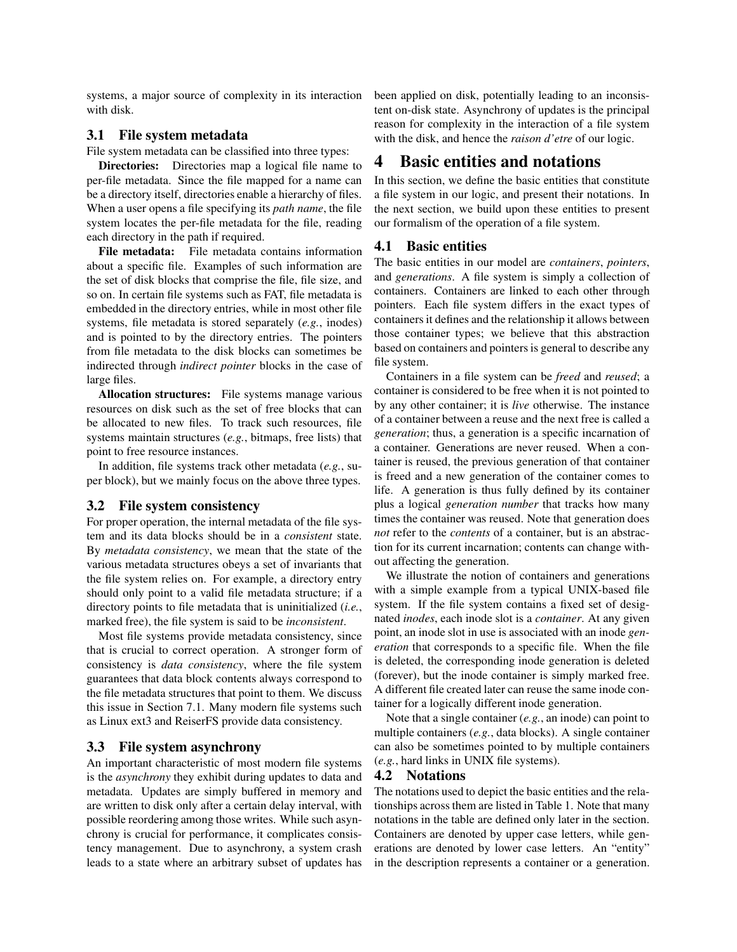systems, a major source of complexity in its interaction with disk.

#### **3.1 File system metadata**

File system metadata can be classified into three types:

**Directories:** Directories map a logical file name to per-file metadata. Since the file mapped for a name can be a directory itself, directories enable a hierarchy of files. When a user opens a file specifying its *path name*, the file system locates the per-file metadata for the file, reading each directory in the path if required.

**File metadata:** File metadata contains information about a specific file. Examples of such information are the set of disk blocks that comprise the file, file size, and so on. In certain file systems such as FAT, file metadata is embedded in the directory entries, while in most other file systems, file metadata is stored separately (*e.g.*, inodes) and is pointed to by the directory entries. The pointers from file metadata to the disk blocks can sometimes be indirected through *indirect pointer* blocks in the case of large files.

**Allocation structures:** File systems manage various resources on disk such as the set of free blocks that can be allocated to new files. To track such resources, file systems maintain structures (*e.g.*, bitmaps, free lists) that point to free resource instances.

In addition, file systems track other metadata (*e.g.*, super block), but we mainly focus on the above three types.

#### **3.2 File system consistency**

For proper operation, the internal metadata of the file system and its data blocks should be in a *consistent* state. By *metadata consistency*, we mean that the state of the various metadata structures obeys a set of invariants that the file system relies on. For example, a directory entry should only point to a valid file metadata structure; if a directory points to file metadata that is uninitialized (*i.e.*, marked free), the file system is said to be *inconsistent*.

Most file systems provide metadata consistency, since that is crucial to correct operation. A stronger form of consistency is *data consistency*, where the file system guarantees that data block contents always correspond to the file metadata structures that point to them. We discuss this issue in Section 7.1. Many modern file systems such as Linux ext3 and ReiserFS provide data consistency.

### **3.3 File system asynchrony**

An important characteristic of most modern file systems is the *asynchrony* they exhibit during updates to data and metadata. Updates are simply buffered in memory and are written to disk only after a certain delay interval, with possible reordering among those writes. While such asynchrony is crucial for performance, it complicates consistency management. Due to asynchrony, a system crash leads to a state where an arbitrary subset of updates has been applied on disk, potentially leading to an inconsistent on-disk state. Asynchrony of updates is the principal reason for complexity in the interaction of a file system with the disk, and hence the *raison d'etre* of our logic.

## **4 Basic entities and notations**

In this section, we define the basic entities that constitute a file system in our logic, and present their notations. In the next section, we build upon these entities to present our formalism of the operation of a file system.

### **4.1 Basic entities**

The basic entities in our model are *containers*, *pointers*, and *generations*. A file system is simply a collection of containers. Containers are linked to each other through pointers. Each file system differs in the exact types of containers it defines and the relationship it allows between those container types; we believe that this abstraction based on containers and pointersis general to describe any file system.

Containers in a file system can be *freed* and *reused*; a container is considered to be free when it is not pointed to by any other container; it is *live* otherwise. The instance of a container between a reuse and the next free is called a *generation*; thus, a generation is a specific incarnation of a container. Generations are never reused. When a container is reused, the previous generation of that container is freed and a new generation of the container comes to life. A generation is thus fully defined by its container plus a logical *generation number* that tracks how many times the container was reused. Note that generation does *not* refer to the *contents* of a container, but is an abstraction for its current incarnation; contents can change without affecting the generation.

We illustrate the notion of containers and generations with a simple example from a typical UNIX-based file system. If the file system contains a fixed set of designated *inodes*, each inode slot is a *container*. At any given point, an inode slot in use is associated with an inode *generation* that corresponds to a specific file. When the file is deleted, the corresponding inode generation is deleted (forever), but the inode container is simply marked free. A different file created later can reuse the same inode container for a logically different inode generation.

Note that a single container (*e.g.*, an inode) can point to multiple containers (*e.g.*, data blocks). A single container can also be sometimes pointed to by multiple containers (*e.g.*, hard links in UNIX file systems).

### **4.2 Notations**

The notations used to depict the basic entities and the relationships across them are listed in Table 1. Note that many notations in the table are defined only later in the section. Containers are denoted by upper case letters, while generations are denoted by lower case letters. An "entity" in the description represents a container or a generation.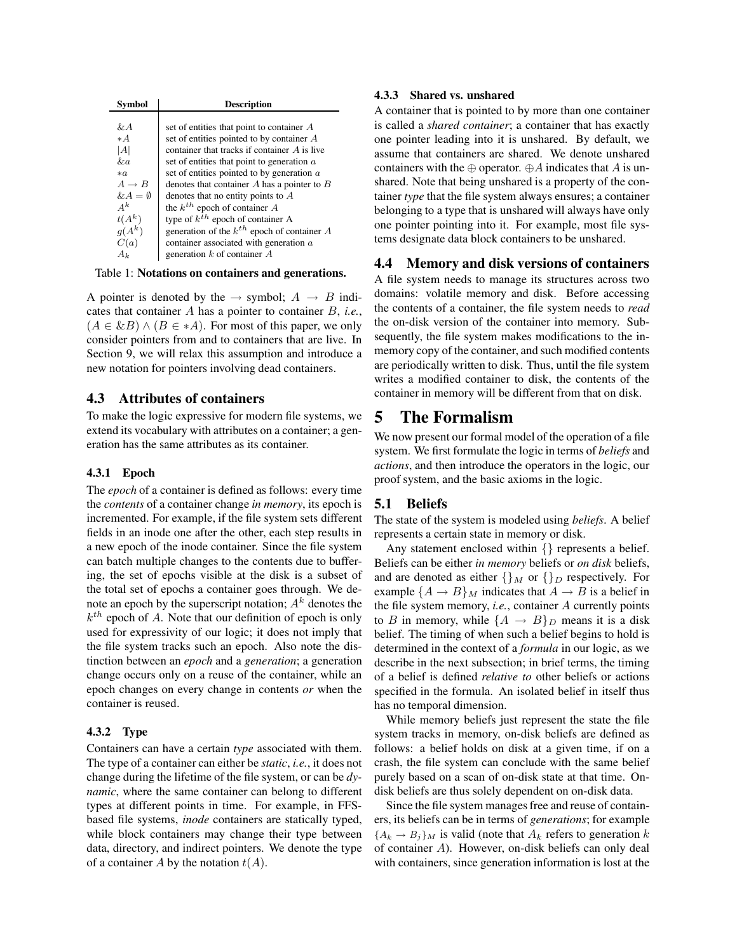| <b>Symbol</b>      | <b>Description</b>                              |
|--------------------|-------------------------------------------------|
|                    |                                                 |
| & A                | set of entities that point to container $A$     |
| $* A$              | set of entities pointed to by container $A$     |
| A                  | container that tracks if container A is live    |
| &a                 | set of entities that point to generation a      |
| $*$ a              | set of entities pointed to by generation $a$    |
| $A \rightarrow B$  | denotes that container $A$ has a pointer to $B$ |
| $\& A = \emptyset$ | denotes that no entity points to $A$            |
| $A^k$              | the $k^{th}$ epoch of container A               |
| $t(A^k)$           | type of $k^{th}$ epoch of container A           |
| $q(A^k)$           | generation of the $k^{th}$ epoch of container A |
| C(a)               | container associated with generation a          |
| Аı                 | generation $k$ of container $A$                 |

Table 1: **Notations on containers and generations.**

A pointer is denoted by the  $\rightarrow$  symbol;  $A \rightarrow B$  indicates that container A has a pointer to container B, *i.e.*,  $(A \in \& B) \wedge (B \in *A)$ . For most of this paper, we only consider pointers from and to containers that are live. In Section 9, we will relax this assumption and introduce a new notation for pointers involving dead containers.

### **4.3 Attributes of containers**

To make the logic expressive for modern file systems, we extend its vocabulary with attributes on a container; a generation has the same attributes as its container.

#### **4.3.1 Epoch**

The *epoch* of a container is defined as follows: every time the *contents* of a container change *in memory*, its epoch is incremented. For example, if the file system sets different fields in an inode one after the other, each step results in a new epoch of the inode container. Since the file system can batch multiple changes to the contents due to buffering, the set of epochs visible at the disk is a subset of the total set of epochs a container goes through. We denote an epoch by the superscript notation;  $A<sup>k</sup>$  denotes the  $k^{th}$  epoch of A. Note that our definition of epoch is only used for expressivity of our logic; it does not imply that the file system tracks such an epoch. Also note the distinction between an *epoch* and a *generation*; a generation change occurs only on a reuse of the container, while an epoch changes on every change in contents *or* when the container is reused.

### **4.3.2 Type**

Containers can have a certain *type* associated with them. The type of a container can either be *static*, *i.e.*, it does not change during the lifetime of the file system, or can be *dynamic*, where the same container can belong to different types at different points in time. For example, in FFSbased file systems, *inode* containers are statically typed, while block containers may change their type between data, directory, and indirect pointers. We denote the type of a container A by the notation  $t(A)$ .

#### **4.3.3 Shared vs. unshared**

A container that is pointed to by more than one container is called a *shared container*; a container that has exactly one pointer leading into it is unshared. By default, we assume that containers are shared. We denote unshared containers with the ⊕ operator. ⊕A indicates that A is unshared. Note that being unshared is a property of the container *type* that the file system always ensures; a container belonging to a type that is unshared will always have only one pointer pointing into it. For example, most file systems designate data block containers to be unshared.

### **4.4 Memory and disk versions of containers**

A file system needs to manage its structures across two domains: volatile memory and disk. Before accessing the contents of a container, the file system needs to *read* the on-disk version of the container into memory. Subsequently, the file system makes modifications to the inmemory copy of the container, and such modified contents are periodically written to disk. Thus, until the file system writes a modified container to disk, the contents of the container in memory will be different from that on disk.

## **5 The Formalism**

We now present our formal model of the operation of a file system. We first formulate the logic in terms of *beliefs* and *actions*, and then introduce the operators in the logic, our proof system, and the basic axioms in the logic.

### **5.1 Beliefs**

The state of the system is modeled using *beliefs*. A belief represents a certain state in memory or disk.

Any statement enclosed within {} represents a belief. Beliefs can be either *in memory* beliefs or *on disk* beliefs, and are denoted as either  $\{\}_M$  or  $\{\}_D$  respectively. For example  ${A \rightarrow B}$  *M* indicates that  $A \rightarrow B$  is a belief in the file system memory, *i.e.*, container A currently points to B in memory, while  $\{A \rightarrow B\}_D$  means it is a disk belief. The timing of when such a belief begins to hold is determined in the context of a *formula* in our logic, as we describe in the next subsection; in brief terms, the timing of a belief is defined *relative to* other beliefs or actions specified in the formula. An isolated belief in itself thus has no temporal dimension.

While memory beliefs just represent the state the file system tracks in memory, on-disk beliefs are defined as follows: a belief holds on disk at a given time, if on a crash, the file system can conclude with the same belief purely based on a scan of on-disk state at that time. Ondisk beliefs are thus solely dependent on on-disk data.

Since the file system manages free and reuse of containers, its beliefs can be in terms of *generations*; for example  ${A_k \to B_j}_M$  is valid (note that  $A_k$  refers to generation k of container A). However, on-disk beliefs can only deal with containers, since generation information is lost at the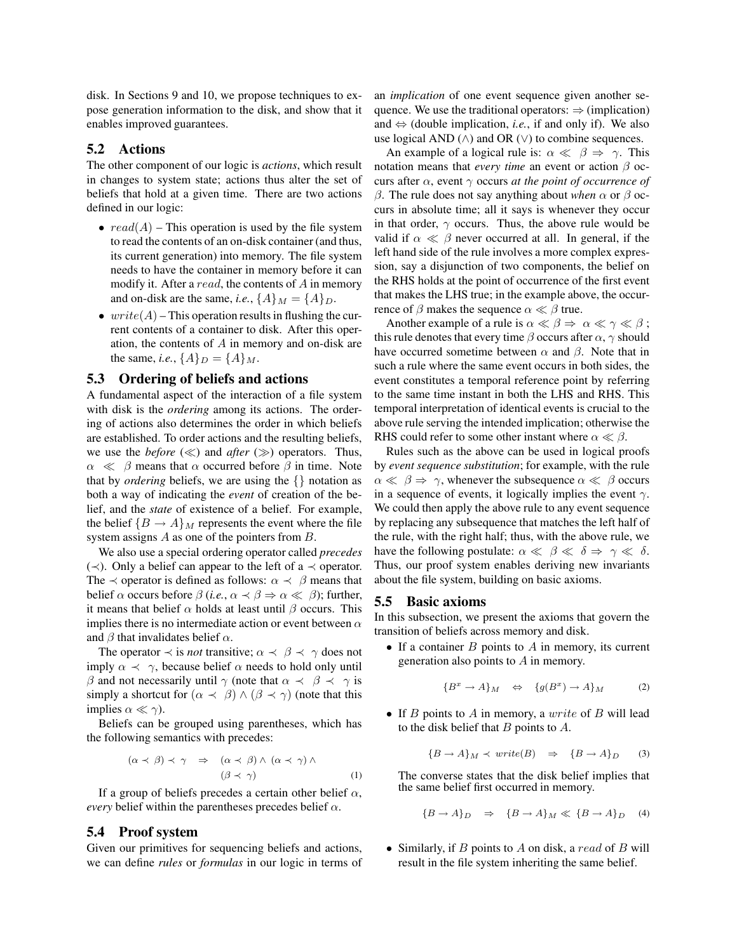disk. In Sections 9 and 10, we propose techniques to expose generation information to the disk, and show that it enables improved guarantees.

## **5.2 Actions**

The other component of our logic is *actions*, which result in changes to system state; actions thus alter the set of beliefs that hold at a given time. There are two actions defined in our logic:

- $read(A)$  This operation is used by the file system to read the contents of an on-disk container (and thus, its current generation) into memory. The file system needs to have the container in memory before it can modify it. After a  $read$ , the contents of  $A$  in memory and on-disk are the same, *i.e.*,  $\{A\}_M = \{A\}_D$ .
- write  $(A)$  This operation results in flushing the current contents of a container to disk. After this operation, the contents of A in memory and on-disk are the same, *i.e.*,  $\{A\}_D = \{A\}_M$ .

### **5.3 Ordering of beliefs and actions**

A fundamental aspect of the interaction of a file system with disk is the *ordering* among its actions. The ordering of actions also determines the order in which beliefs are established. To order actions and the resulting beliefs, we use the *before*  $(\ll)$  and *after*  $(\gg)$  operators. Thus,  $\alpha \ll \beta$  means that  $\alpha$  occurred before  $\beta$  in time. Note that by *ordering* beliefs, we are using the  $\{\}$  notation as both a way of indicating the *event* of creation of the belief, and the *state* of existence of a belief. For example, the belief  ${B \to A}$  *M* represents the event where the file system assigns A as one of the pointers from B.

We also use a special ordering operator called *precedes*  $\langle \prec \rangle$ . Only a belief can appear to the left of a  $\prec$  operator. The  $\prec$  operator is defined as follows:  $\alpha \prec \beta$  means that belief  $\alpha$  occurs before  $\beta$  (*i.e.*,  $\alpha \prec \beta \Rightarrow \alpha \ll \beta$ ); further, it means that belief  $\alpha$  holds at least until  $\beta$  occurs. This implies there is no intermediate action or event between  $\alpha$ and  $\beta$  that invalidates belief  $\alpha$ .

The operator  $\prec$  is *not* transitive;  $\alpha \prec \beta \prec \gamma$  does not imply  $\alpha \prec \gamma$ , because belief  $\alpha$  needs to hold only until β and not necessarily until  $\gamma$  (note that  $\alpha \prec \beta \prec \gamma$  is simply a shortcut for  $(\alpha \prec \beta) \wedge (\beta \prec \gamma)$  (note that this implies  $\alpha \ll \gamma$ ).

Beliefs can be grouped using parentheses, which has the following semantics with precedes:

$$
(\alpha \prec \beta) \prec \gamma \quad \Rightarrow \quad (\alpha \prec \beta) \land (\alpha \prec \gamma) \land (\beta \prec \gamma) \tag{1}
$$

If a group of beliefs precedes a certain other belief  $\alpha$ , *every* belief within the parentheses precedes belief  $\alpha$ .

### **5.4 Proof system**

Given our primitives for sequencing beliefs and actions, we can define *rules* or *formulas* in our logic in terms of

an *implication* of one event sequence given another sequence. We use the traditional operators:  $\Rightarrow$  (implication) and  $\Leftrightarrow$  (double implication, *i.e.*, if and only if). We also use logical AND ( $\land$ ) and OR ( $\lor$ ) to combine sequences.

An example of a logical rule is:  $\alpha \ll \beta \Rightarrow \gamma$ . This notation means that *every time* an event or action β occurs after α, event γ occurs *at the point of occurrence of* β. The rule does not say anything about *when* α or β occurs in absolute time; all it says is whenever they occur in that order,  $\gamma$  occurs. Thus, the above rule would be valid if  $\alpha \ll \beta$  never occurred at all. In general, if the left hand side of the rule involves a more complex expression, say a disjunction of two components, the belief on the RHS holds at the point of occurrence of the first event that makes the LHS true; in the example above, the occurrence of  $\beta$  makes the sequence  $\alpha \ll \beta$  true.

Another example of a rule is  $\alpha \ll \beta \Rightarrow \alpha \ll \gamma \ll \beta$ ; this rule denotes that every time  $\beta$  occurs after  $\alpha$ ,  $\gamma$  should have occurred sometime between  $\alpha$  and  $\beta$ . Note that in such a rule where the same event occurs in both sides, the event constitutes a temporal reference point by referring to the same time instant in both the LHS and RHS. This temporal interpretation of identical events is crucial to the above rule serving the intended implication; otherwise the RHS could refer to some other instant where  $\alpha \ll \beta$ .

Rules such as the above can be used in logical proofs by *event sequence substitution*; for example, with the rule  $\alpha \ll \beta \Rightarrow \gamma$ , whenever the subsequence  $\alpha \ll \beta$  occurs in a sequence of events, it logically implies the event  $\gamma$ . We could then apply the above rule to any event sequence by replacing any subsequence that matches the left half of the rule, with the right half; thus, with the above rule, we have the following postulate:  $\alpha \ll \beta \ll \delta \Rightarrow \gamma \ll \delta$ . Thus, our proof system enables deriving new invariants about the file system, building on basic axioms.

#### **5.5 Basic axioms**

In this subsection, we present the axioms that govern the transition of beliefs across memory and disk.

• If a container  $B$  points to  $A$  in memory, its current generation also points to A in memory.

$$
\{B^x \to A\}_M \quad \Leftrightarrow \quad \{g(B^x) \to A\}_M \tag{2}
$$

• If  $B$  points to  $A$  in memory, a write of  $B$  will lead to the disk belief that  $B$  points to  $A$ .

$$
{B \to A}_M \prec write(B) \Rightarrow {B \to A}_D \qquad (3)
$$

The converse states that the disk belief implies that the same belief first occurred in memory.

$$
{B \to A}_D \Rightarrow {B \to A}_M \ll {B \to A}_D \quad (4)
$$

• Similarly, if  $B$  points to  $A$  on disk, a read of  $B$  will result in the file system inheriting the same belief.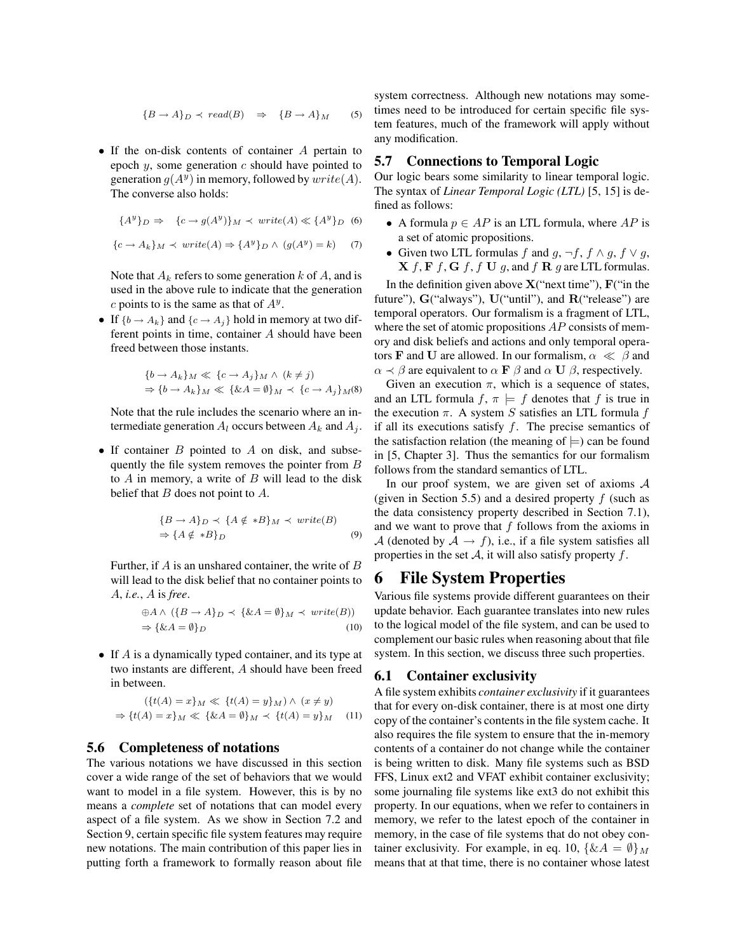$$
{B \to A}_D \prec \text{read}(B) \Rightarrow {B \to A}_M \quad (5)
$$

• If the on-disk contents of container A pertain to epoch  $y$ , some generation  $c$  should have pointed to generation  $g(A^y)$  in memory, followed by  $write(A)$ . The converse also holds:

$$
\{A^y\}_D \Rightarrow \{c \to g(A^y)\}_M \prec write(A) \ll \{A^y\}_D \quad (6)
$$

$$
\{c \to A_k\}_M \prec write(A) \Rightarrow \{A^y\}_D \land (g(A^y) = k) \quad (7)
$$

Note that  $A_k$  refers to some generation k of A, and is used in the above rule to indicate that the generation c points to is the same as that of  $A<sup>y</sup>$ .

• If  $\{b \rightarrow A_k\}$  and  $\{c \rightarrow A_j\}$  hold in memory at two different points in time, container A should have been freed between those instants.

$$
\{b \to A_k\}_M \ll \{c \to A_j\}_M \land (k \neq j)
$$
  
\n
$$
\Rightarrow \{b \to A_k\}_M \ll \{\&A = \emptyset\}_M \prec \{c \to A_j\}_M(8)
$$

Note that the rule includes the scenario where an intermediate generation  $A_l$  occurs between  $A_k$  and  $A_j$ .

• If container  $B$  pointed to  $A$  on disk, and subsequently the file system removes the pointer from B to  $A$  in memory, a write of  $B$  will lead to the disk belief that  $B$  does not point to  $A$ .

$$
\{B \to A\}_D \prec \{A \notin *B\}_M \prec write(B)
$$
  
\n
$$
\Rightarrow \{A \notin *B\}_D
$$
 (9)

Further, if  $A$  is an unshared container, the write of  $B$ will lead to the disk belief that no container points to A, *i.e.*, A is *free*.

$$
\oplus A \land (\{B \to A\}_D \prec \{\& A = \emptyset\}_M \prec write(B))
$$
  

$$
\Rightarrow \{\& A = \emptyset\}_D
$$
 (10)

• If A is a dynamically typed container, and its type at two instants are different, A should have been freed in between.

$$
(\{t(A) = x\}_M \ll \{t(A) = y\}_M) \land (x \neq y)
$$

$$
\Rightarrow \{t(A) = x\}_M \ll \{\&A = \emptyset\}_M \prec \{t(A) = y\}_M \quad (11)
$$

### **5.6 Completeness of notations**

The various notations we have discussed in this section cover a wide range of the set of behaviors that we would want to model in a file system. However, this is by no means a *complete* set of notations that can model every aspect of a file system. As we show in Section 7.2 and Section 9, certain specific file system features may require new notations. The main contribution of this paper lies in putting forth a framework to formally reason about file

system correctness. Although new notations may sometimes need to be introduced for certain specific file system features, much of the framework will apply without any modification.

### **5.7 Connections to Temporal Logic**

Our logic bears some similarity to linear temporal logic. The syntax of *Linear Temporal Logic (LTL)* [5, 15] is defined as follows:

- A formula  $p \in AP$  is an LTL formula, where  $AP$  is a set of atomic propositions.
- Given two LTL formulas f and  $g, \neg f, f \wedge g, f \vee g$ ,  $X f, F f, G f, f U g$ , and  $f R g$  are LTL formulas.

In the definition given above  $X("next time"), F("in the")$ future"), G("always"), U("until"), and R("release") are temporal operators. Our formalism is a fragment of LTL, where the set of atomic propositions  $AP$  consists of memory and disk beliefs and actions and only temporal operators **F** and **U** are allowed. In our formalism,  $\alpha \ll \beta$  and  $\alpha \prec \beta$  are equivalent to  $\alpha \mathbf{F} \beta$  and  $\alpha \mathbf{U} \beta$ , respectively.

Given an execution  $\pi$ , which is a sequence of states, and an LTL formula  $f, \pi \models f$  denotes that f is true in the execution  $\pi$ . A system S satisfies an LTL formula f if all its executions satisfy  $f$ . The precise semantics of the satisfaction relation (the meaning of  $\models$ ) can be found in [5, Chapter 3]. Thus the semantics for our formalism follows from the standard semantics of LTL.

In our proof system, we are given set of axioms  $A$ (given in Section 5.5) and a desired property  $f$  (such as the data consistency property described in Section 7.1), and we want to prove that  $f$  follows from the axioms in A (denoted by  $A \rightarrow f$ ), i.e., if a file system satisfies all properties in the set  $A$ , it will also satisfy property  $f$ .

## **6 File System Properties**

Various file systems provide different guarantees on their update behavior. Each guarantee translates into new rules to the logical model of the file system, and can be used to complement our basic rules when reasoning about that file system. In this section, we discuss three such properties.

### **6.1 Container exclusivity**

A file system exhibits *container exclusivity* if it guarantees that for every on-disk container, there is at most one dirty copy of the container's contentsin the file system cache. It also requires the file system to ensure that the in-memory contents of a container do not change while the container is being written to disk. Many file systems such as BSD FFS, Linux ext2 and VFAT exhibit container exclusivity; some journaling file systems like ext3 do not exhibit this property. In our equations, when we refer to containers in memory, we refer to the latest epoch of the container in memory, in the case of file systems that do not obey container exclusivity. For example, in eq. 10,  $\{ \& A = \emptyset \}_{M}$ means that at that time, there is no container whose latest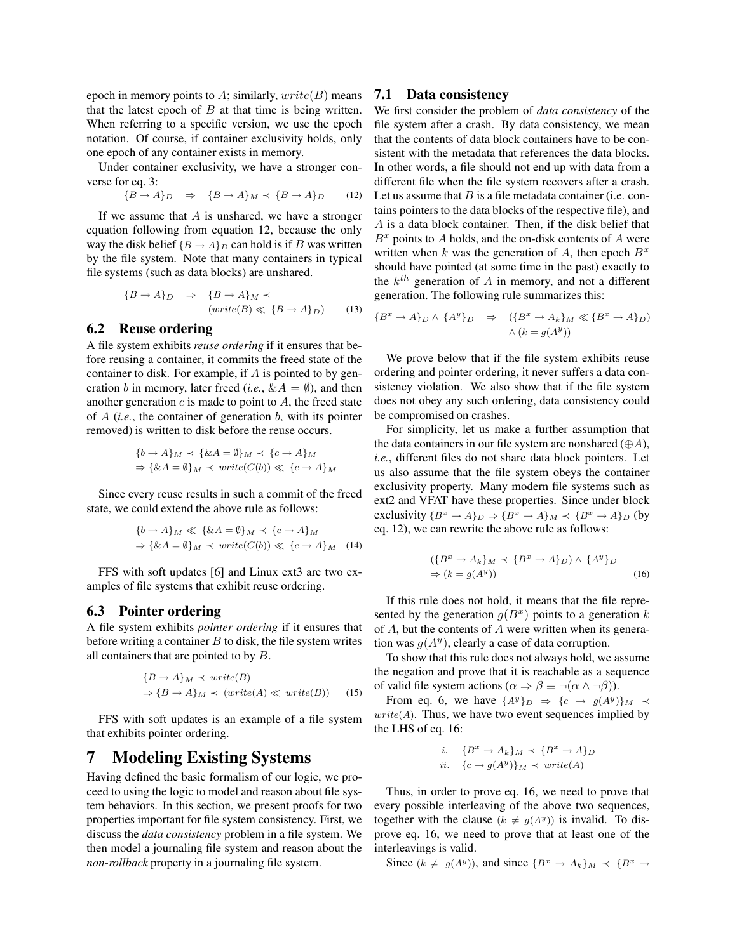epoch in memory points to A; similarly,  $write(B)$  means that the latest epoch of  $B$  at that time is being written. When referring to a specific version, we use the epoch notation. Of course, if container exclusivity holds, only one epoch of any container exists in memory.

Under container exclusivity, we have a stronger converse for eq. 3:

$$
\{B \to A\}_D \quad \Rightarrow \quad \{B \to A\}_M \prec \{B \to A\}_D \tag{12}
$$

If we assume that  $A$  is unshared, we have a stronger equation following from equation 12, because the only way the disk belief  ${B \to A}_D$  can hold is if B was written by the file system. Note that many containers in typical file systems (such as data blocks) are unshared.

$$
{B \to A}_D \Rightarrow {B \to A}_M \prec
$$
  

$$
(write(B) \ll {B \to A}_D)
$$
 (13)

### **6.2 Reuse ordering**

A file system exhibits *reuse ordering* if it ensures that before reusing a container, it commits the freed state of the container to disk. For example, if A is pointed to by generation b in memory, later freed (*i.e.*,  $\&A = \emptyset$ ), and then another generation  $c$  is made to point to  $A$ , the freed state of  $A$  (*i.e.*, the container of generation  $b$ , with its pointer removed) is written to disk before the reuse occurs.

$$
\{b \to A\}_M \prec \{\& A = \emptyset\}_M \prec \{c \to A\}_M
$$
  

$$
\Rightarrow \{\& A = \emptyset\}_M \prec write(C(b)) \ll \{c \to A\}_M
$$

Since every reuse results in such a commit of the freed state, we could extend the above rule as follows:

$$
\{b \to A\}_M \ll \{\& A = \emptyset\}_M \prec \{c \to A\}_M
$$
  
\n
$$
\Rightarrow \{\& A = \emptyset\}_M \prec \text{write}(C(b)) \ll \{c \to A\}_M \quad (14)
$$

FFS with soft updates [6] and Linux ext3 are two examples of file systems that exhibit reuse ordering.

### **6.3 Pointer ordering**

A file system exhibits *pointer ordering* if it ensures that before writing a container  $B$  to disk, the file system writes all containers that are pointed to by B.

$$
\{B \to A\}_M \prec write(B)
$$
  
\n
$$
\Rightarrow \{B \to A\}_M \prec (write(A) \ll write(B))
$$
 (15)

FFS with soft updates is an example of a file system that exhibits pointer ordering.

## **7 Modeling Existing Systems**

Having defined the basic formalism of our logic, we proceed to using the logic to model and reason about file system behaviors. In this section, we present proofs for two properties important for file system consistency. First, we discuss the *data consistency* problem in a file system. We then model a journaling file system and reason about the *non-rollback* property in a journaling file system.

### **7.1 Data consistency**

We first consider the problem of *data consistency* of the file system after a crash. By data consistency, we mean that the contents of data block containers have to be consistent with the metadata that references the data blocks. In other words, a file should not end up with data from a different file when the file system recovers after a crash. Let us assume that  $B$  is a file metadata container (i.e. contains pointers to the data blocks of the respective file), and A is a data block container. Then, if the disk belief that  $B<sup>x</sup>$  points to A holds, and the on-disk contents of A were written when k was the generation of A, then epoch  $B^x$ should have pointed (at some time in the past) exactly to the  $k^{th}$  generation of A in memory, and not a different generation. The following rule summarizes this:

$$
\{B^x \to A\}_D \land \{A^y\}_D \Rightarrow (\{B^x \to A_k\}_M \ll \{B^x \to A\}_D)
$$
  
 
$$
\land (k = g(A^y))
$$

We prove below that if the file system exhibits reuse ordering and pointer ordering, it never suffers a data consistency violation. We also show that if the file system does not obey any such ordering, data consistency could be compromised on crashes.

For simplicity, let us make a further assumption that the data containers in our file system are nonshared  $(\oplus A)$ , *i.e.*, different files do not share data block pointers. Let us also assume that the file system obeys the container exclusivity property. Many modern file systems such as ext2 and VFAT have these properties. Since under block exclusivity  $\{B^x \to A\}_D \Rightarrow \{B^x \to A\}_M \prec \{B^x \to A\}_D$  (by eq. 12), we can rewrite the above rule as follows:

$$
(\{B^x \to A_k\}_M \prec \{B^x \to A\}_D) \wedge \{A^y\}_D
$$
  
\n
$$
\Rightarrow (k = g(A^y))
$$
\n(16)

If this rule does not hold, it means that the file represented by the generation  $g(B^x)$  points to a generation k of  $A$ , but the contents of  $A$  were written when its generation was  $g(A^y)$ , clearly a case of data corruption.

To show that this rule does not always hold, we assume the negation and prove that it is reachable as a sequence of valid file system actions ( $\alpha \Rightarrow \beta \equiv \neg(\alpha \land \neg \beta)$ ).

From eq. 6, we have  $\{A^y\}_D \Rightarrow \{c \rightarrow g(A^y)\}_M \prec$  $write(A)$ . Thus, we have two event sequences implied by the LHS of eq. 16:

$$
i. \quad \{B^x \to A_k\}_M \prec \{B^x \to A\}_D
$$
  

$$
ii. \quad \{c \to g(A^y)\}_M \prec write(A)
$$

Thus, in order to prove eq. 16, we need to prove that every possible interleaving of the above two sequences, together with the clause  $(k \neq g(A^y))$  is invalid. To disprove eq. 16, we need to prove that at least one of the interleavings is valid.

Since  $(k \neq g(A^y))$ , and since  ${B^x \to A_k}_M \prec {B^x \to B^x}$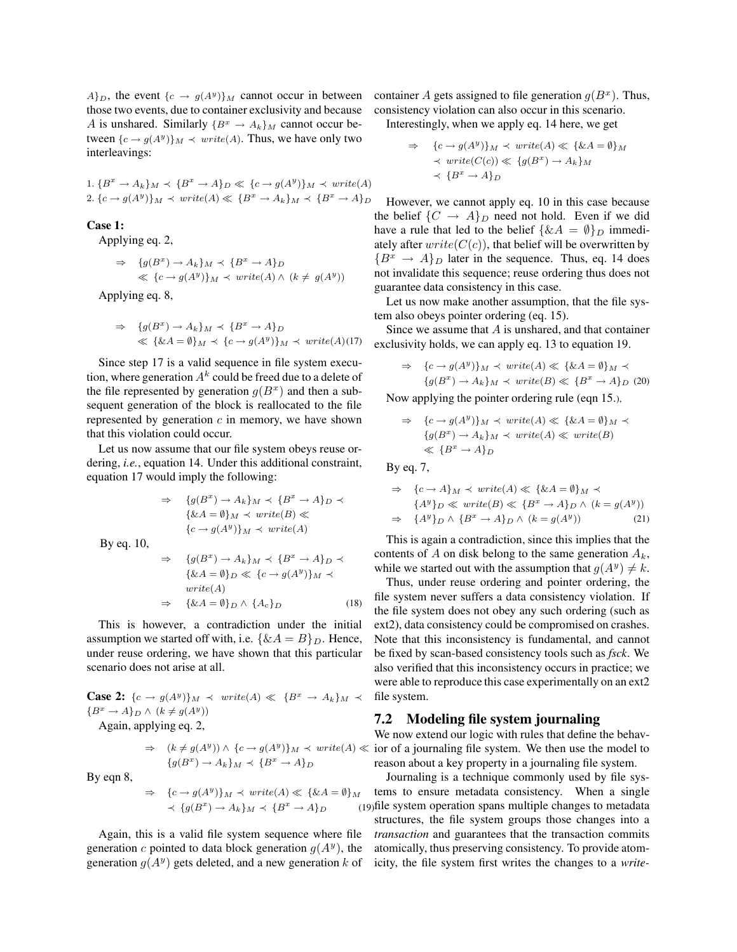$A\}_{D}$ , the event  $\{c \rightarrow g(A^y)\}_{M}$  cannot occur in between those two events, due to container exclusivity and because A is unshared. Similarly  $\{B^x \to A_k\}_M$  cannot occur between  $\{c \rightarrow g(A^y)\}\$ *M*  $\prec$  *write*(*A*). Thus, we have only two interleavings:

1.  ${B^x \to A_k}_M \prec {B^x \to A}_D \ll {c \to g(A^y)}_M \prec write(A)$ 2.  $\{c \rightarrow g(A^y)\}_M \prec write(A) \ll \{B^x \rightarrow A_k\}_M \prec \{B^x \rightarrow A\}_D$ 

### **Case 1:**

Applying eq. 2,

$$
\Rightarrow \{g(B^x) \to A_k\}_M \prec \{B^x \to A\}_D
$$
  
\$\ll \{c \to g(A^y)\}\_M \prec write(A) \land (k \neq g(A^y))\$

Applying eq. 8,

$$
\Rightarrow \{g(B^x) \to A_k\}_M \prec \{B^x \to A\}_D
$$
  

$$
\ll \{\&A = \emptyset\}_M \prec \{c \to g(A^y)\}_M \prec write(A)(17)
$$

Since step 17 is a valid sequence in file system execution, where generation  $A^k$  could be freed due to a delete of the file represented by generation  $g(B^x)$  and then a subsequent generation of the block is reallocated to the file represented by generation  $c$  in memory, we have shown that this violation could occur.

Let us now assume that our file system obeys reuse ordering, *i.e.*, equation 14. Under this additional constraint, equation 17 would imply the following:

$$
\Rightarrow \{g(B^x) \to A_k\}_M \prec \{B^x \to A\}_D \prec
$$
  

$$
\{\&A = \emptyset\}_M \prec write(B) \ll
$$
  

$$
\{c \to g(A^y)\}_M \prec write(A)
$$
  

$$
\Rightarrow \{g(B^x) \to A_k\}_M \prec \{B^x \to A\}_D \prec
$$

By eq. 10,

$$
\Rightarrow \{g(B^x) \to A_k\}_M \prec \{B^x \to A\}_D \prec
$$
  

$$
\{\&A = \emptyset\}_D \ll \{c \to g(A^y)\}_M \prec
$$
  
write(A)  

$$
\Rightarrow \{\&A = \emptyset\}_D \land \{A_c\}_D
$$
 (18)

This is however, a contradiction under the initial assumption we started off with, i.e.  $\{ \& A = B \}_D$ . Hence, under reuse ordering, we have shown that this particular scenario does not arise at all.

**Case 2:**  $\{c \rightarrow g(A^y)\}\_M \prec write(A) \ll \{B^x \rightarrow A_k\}_M \prec$  ${B^x \to A}_D \wedge (k \neq g(A^y))$ 

Again, applying eq. 2,

$$
\Rightarrow (k \neq g(A^y)) \land \{c \rightarrow g(A^y)\}_M \prec write(A) \ll
$$
  

$$
\{g(B^x) \rightarrow A_k\}_M \prec \{B^x \rightarrow A\}_D
$$

By eqn 8,

$$
\Rightarrow \{c \to g(A^y)\}_M \prec write(A) \ll \{\& A = \emptyset\}_M
$$
  

$$
\prec \{g(B^x) \to A_k\}_M \prec \{B^x \to A\}_D
$$
 (19)

Again, this is a valid file system sequence where file generation c pointed to data block generation  $g(A^y)$ , the generation  $g(A^y)$  gets deleted, and a new generation k of

container A gets assigned to file generation  $g(B^x)$ . Thus, consistency violation can also occur in this scenario.

Interestingly, when we apply eq. 14 here, we get

$$
\Rightarrow \{c \to g(A^y)\}_M \prec write(A) \ll \{\& A = \emptyset\}_M
$$
  

$$
\prec write(C(c)) \ll \{g(B^x) \to A_k\}_M
$$
  

$$
\prec \{B^x \to A\}_D
$$

However, we cannot apply eq. 10 in this case because the belief  $\{C \rightarrow A\}_D$  need not hold. Even if we did have a rule that led to the belief  $\{ \& A = \emptyset \}_D$  immediately after  $write(C(c))$ , that belief will be overwritten by  ${B^x \rightarrow A}_D$  later in the sequence. Thus, eq. 14 does not invalidate this sequence; reuse ordering thus does not guarantee data consistency in this case.

Let us now make another assumption, that the file system also obeys pointer ordering (eq. 15).

Since we assume that  $A$  is unshared, and that container exclusivity holds, we can apply eq. 13 to equation 19.

$$
\Rightarrow \{c \to g(A^y)\}_M \prec write(A) \ll \{\& A = \emptyset\}_M \prec
$$

$$
\{g(B^x) \to A_k\}_M \prec write(B) \ll \{B^x \to A\}_D \tag{20}
$$

Now applying the pointer ordering rule (eqn 15.),

$$
\Rightarrow \{c \to g(A^y)\}_M \prec write(A) \ll \{\&A = \emptyset\}_M \prec
$$
  

$$
\{g(B^x) \to A_k\}_M \prec write(A) \ll write(B)
$$
  

$$
\ll \{B^x \to A\}_D
$$

By eq. 7,

$$
\Rightarrow \{c \to A\}_M \prec write(A) \ll \{\& A = \emptyset\}_M \prec
$$
  

$$
\{A^y\}_D \ll write(B) \ll \{B^x \to A\}_D \land (k = g(A^y))
$$
  

$$
\Rightarrow \{A^y\}_D \land \{B^x \to A\}_D \land (k = g(A^y))
$$
 (21)

This is again a contradiction, since this implies that the contents of A on disk belong to the same generation  $A_k$ , while we started out with the assumption that  $g(A^y) \neq k$ .

Thus, under reuse ordering and pointer ordering, the file system never suffers a data consistency violation. If the file system does not obey any such ordering (such as ext2), data consistency could be compromised on crashes. Note that this inconsistency is fundamental, and cannot be fixed by scan-based consistency tools such as *fsck*. We also verified that this inconsistency occurs in practice; we were able to reproduce this case experimentally on an ext2 file system.

### **7.2 Modeling file system journaling**

We now extend our logic with rules that define the behav- $\le$  ior of a journaling file system. We then use the model to reason about a key property in a journaling file system.

Journaling is a technique commonly used by file systems to ensure metadata consistency. When a single file system operation spans multiple changes to metadata structures, the file system groups those changes into a *transaction* and guarantees that the transaction commits atomically, thus preserving consistency. To provide atomicity, the file system first writes the changes to a *write-*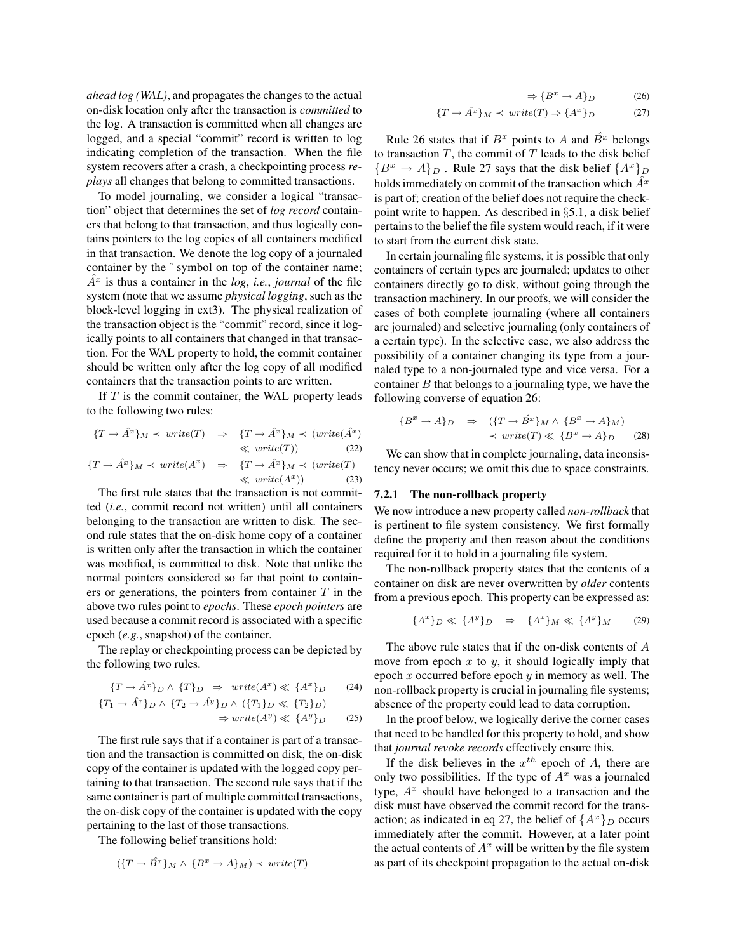*ahead log (WAL)*, and propagates the changes to the actual on-disk location only after the transaction is *committed* to the log. A transaction is committed when all changes are logged, and a special "commit" record is written to log indicating completion of the transaction. When the file system recovers after a crash, a checkpointing process *replays* all changes that belong to committed transactions.

To model journaling, we consider a logical "transaction" object that determines the set of *log record* containers that belong to that transaction, and thus logically contains pointers to the log copies of all containers modified in that transaction. We denote the log copy of a journaled container by the  $\hat{ }$  symbol on top of the container name;  $A<sup>x</sup>$  is thus a container in the *log*, *i.e.*, *journal* of the file system (note that we assume *physical logging*, such as the block-level logging in ext3). The physical realization of the transaction object is the "commit" record, since it logically points to all containers that changed in that transaction. For the WAL property to hold, the commit container should be written only after the log copy of all modified containers that the transaction points to are written.

If  $T$  is the commit container, the WAL property leads to the following two rules:

$$
\{T \to \hat{A}^x\}_M \prec write(T) \Rightarrow \{T \to \hat{A}^x\}_M \prec (write(\hat{A}^x)
$$
  

$$
\ll write(T)) \qquad (22)
$$
  

$$
\{T \to \hat{A}^x\}_M \prec write(A^x) \Rightarrow \{T \to \hat{A}^x\}_M \prec (write(T)
$$
  

$$
\ll write(A^x) \qquad (23)
$$

The first rule states that the transaction is not committed (*i.e.*, commit record not written) until all containers belonging to the transaction are written to disk. The second rule states that the on-disk home copy of a container is written only after the transaction in which the container was modified, is committed to disk. Note that unlike the normal pointers considered so far that point to containers or generations, the pointers from container  $T$  in the above two rules point to *epochs*. These *epoch pointers* are used because a commit record is associated with a specific epoch (*e.g.*, snapshot) of the container.

The replay or checkpointing process can be depicted by the following two rules.

$$
\{T \to \hat{A}^x\}_D \land \{T\}_D \Rightarrow write(A^x) \ll \{A^x\}_D \tag{24}
$$

$$
\{T_1 \to \hat{A}^x\}_D \land \{T_2 \to \hat{A}^y\}_D \land (\{T_1\}_D \ll \{T_2\}_D)
$$
  

$$
\Rightarrow write(A^y) \ll \{A^y\}_D \tag{25}
$$

The first rule says that if a container is part of a transaction and the transaction is committed on disk, the on-disk copy of the container is updated with the logged copy pertaining to that transaction. The second rule says that if the same container is part of multiple committed transactions, the on-disk copy of the container is updated with the copy pertaining to the last of those transactions.

The following belief transitions hold:

$$
(\{T \to \hat{B}^x\}_M \land \{B^x \to A\}_M) \prec write(T)
$$

$$
\Rightarrow \{B^x \to A\}_D \tag{26}
$$

$$
\{T \to \hat{A}^x\}_M \prec \text{write}(T) \Rightarrow \{A^x\}_D \tag{27}
$$

Rule 26 states that if  $B^x$  points to A and  $\hat{B^x}$  belongs to transaction  $T$ , the commit of  $T$  leads to the disk belief  ${B^x \to A}_D$ . Rule 27 says that the disk belief  ${A^x}_D$ holds immediately on commit of the transaction which  $A<sup>x</sup>$ is part of; creation of the belief does not require the checkpoint write to happen. As described in §5.1, a disk belief pertainsto the belief the file system would reach, if it were to start from the current disk state.

In certain journaling file systems, it is possible that only containers of certain types are journaled; updates to other containers directly go to disk, without going through the transaction machinery. In our proofs, we will consider the cases of both complete journaling (where all containers are journaled) and selective journaling (only containers of a certain type). In the selective case, we also address the possibility of a container changing its type from a journaled type to a non-journaled type and vice versa. For a container  $B$  that belongs to a journaling type, we have the following converse of equation 26:

$$
\{B^x \to A\}_D \Rightarrow (\{T \to \hat{B}^x\}_M \wedge \{B^x \to A\}_M)
$$
  
 
$$
\prec \text{write}(T) \ll \{B^x \to A\}_D \qquad (28)
$$

We can show that in complete journaling, data inconsistency never occurs; we omit this due to space constraints.

#### **7.2.1 The non-rollback property**

We now introduce a new property called *non-rollback* that is pertinent to file system consistency. We first formally define the property and then reason about the conditions required for it to hold in a journaling file system.

The non-rollback property states that the contents of a container on disk are never overwritten by *older* contents from a previous epoch. This property can be expressed as:

$$
\{A^x\}_D \ll \{A^y\}_D \quad \Rightarrow \quad \{A^x\}_M \ll \{A^y\}_M \tag{29}
$$

The above rule states that if the on-disk contents of A move from epoch  $x$  to  $y$ , it should logically imply that epoch x occurred before epoch  $y$  in memory as well. The non-rollback property is crucial in journaling file systems; absence of the property could lead to data corruption.

In the proof below, we logically derive the corner cases that need to be handled for this property to hold, and show that *journal revoke records* effectively ensure this.

If the disk believes in the  $x^{th}$  epoch of A, there are only two possibilities. If the type of  $A<sup>x</sup>$  was a journaled type,  $A<sup>x</sup>$  should have belonged to a transaction and the disk must have observed the commit record for the transaction; as indicated in eq 27, the belief of  $\{A^x\}_D$  occurs immediately after the commit. However, at a later point the actual contents of  $A^x$  will be written by the file system as part of its checkpoint propagation to the actual on-disk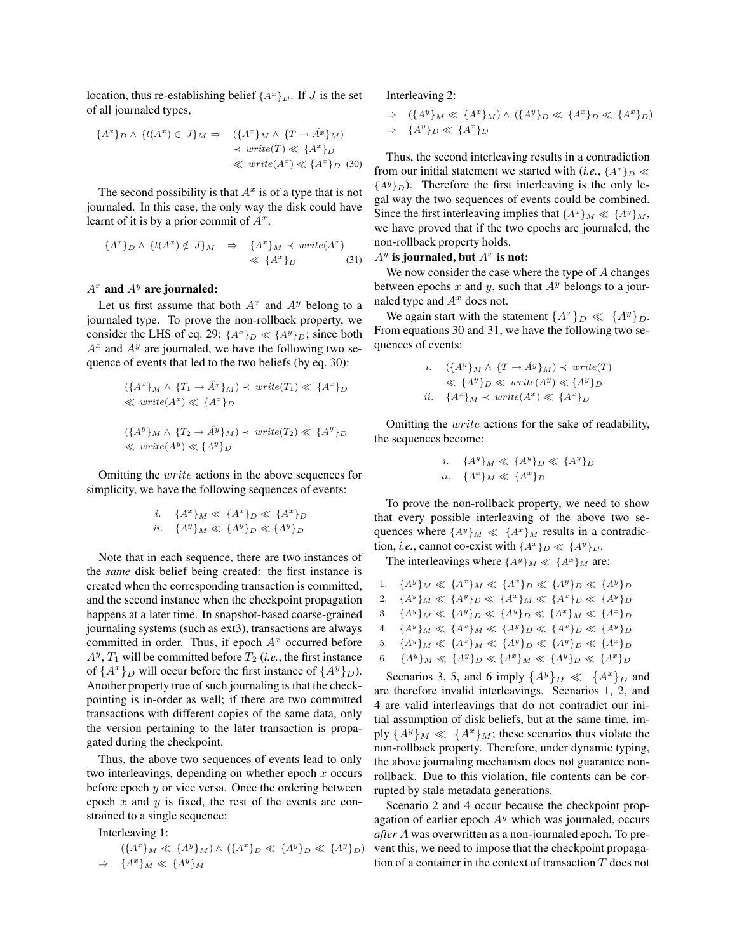location, thus re-establishing belief  $\{A^x\}_D$ . If J is the set of all journaled types,

$$
\{A^x\}_D \land \{t(A^x) \in J\}_M \Rightarrow (\{A^x\}_M \land \{T \to \hat{A}^x\}_M)
$$
  

$$
\prec \text{write}(T) \ll \{A^x\}_D
$$
  

$$
\ll \text{write}(A^x) \ll \{A^x\}_D
$$
 (30)

The second possibility is that  $A^x$  is of a type that is not journaled. In this case, the only way the disk could have learnt of it is by a prior commit of  $A^x$ .

$$
\{A^x\}_D \land \{t(A^x) \notin J\}_M \Rightarrow \{A^x\}_M \prec write(A^x)
$$
  

$$
\ll \{A^x\}_D \tag{31}
$$

## $A^x$  and  $A^y$  are journaled:

Let us first assume that both  $A^x$  and  $A^y$  belong to a journaled type. To prove the non-rollback property, we consider the LHS of eq. 29:  $\{A^x\}_D \ll \{A^y\}_D$ ; since both  $A^x$  and  $A^y$  are journaled, we have the following two sequence of events that led to the two beliefs (by eq. 30):

$$
(\{A^x\}_M \land \{T_1 \to \hat{A}^x\}_M) \prec write(T_1) \ll \{A^x\}_D
$$
  

$$
\ll write(A^x) \ll \{A^x\}_D
$$
  

$$
(\{A^y\}_M \land \{T_2 \to \hat{A}^y\}_M) \prec write(T_2) \ll \{A^y\}_D
$$
  

$$
\ll write(A^y) \ll \{A^y\}_D
$$

Omitting the write actions in the above sequences for simplicity, we have the following sequences of events:

$$
i. \quad \{A^x\}_M \ll \{A^x\}_D \ll \{A^x\}_D
$$
  

$$
ii. \quad \{A^y\}_M \ll \{A^y\}_D \ll \{A^y\}_D
$$

Note that in each sequence, there are two instances of the *same* disk belief being created: the first instance is created when the corresponding transaction is committed, and the second instance when the checkpoint propagation happens at a later time. In snapshot-based coarse-grained journaling systems (such as ext3), transactions are always committed in order. Thus, if epoch  $A<sup>x</sup>$  occurred before  $A^y$ ,  $T_1$  will be committed before  $T_2$  (*i.e.*, the first instance of  $\{A^x\}_D$  will occur before the first instance of  $\{A^y\}_D$ ). Another property true of such journaling is that the checkpointing is in-order as well; if there are two committed transactions with different copies of the same data, only the version pertaining to the later transaction is propagated during the checkpoint.

Thus, the above two sequences of events lead to only two interleavings, depending on whether epoch  $x$  occurs before epoch  $y$  or vice versa. Once the ordering between epoch  $x$  and  $y$  is fixed, the rest of the events are constrained to a single sequence:

Interleaving 1:

$$
(\{A^x\}_M \ll \{A^y\}_M) \land (\{A^x\}_D \ll \{A^y\}_D \ll \{A^y\}_D)
$$
  
\n
$$
\Rightarrow \{A^x\}_M \ll \{A^y\}_M
$$

Interleaving 2:

$$
\Rightarrow (\lbrace A^y \rbrace_M \ll \lbrace A^x \rbrace_M) \land (\lbrace A^y \rbrace_D \ll \lbrace A^x \rbrace_D \ll \lbrace A^x \rbrace_D)
$$
  

$$
\Rightarrow \lbrace A^y \rbrace_D \ll \lbrace A^x \rbrace_D
$$

Thus, the second interleaving results in a contradiction from our initial statement we started with  $(i.e., \{A^x\}_D \ll$  ${A<sup>y</sup>}<sub>D</sub>$ ). Therefore the first interleaving is the only legal way the two sequences of events could be combined. Since the first interleaving implies that  ${A^x}_M \ll {A^y}_M$ , we have proved that if the two epochs are journaled, the non-rollback property holds.

## $A^y$  is journaled, but  $A^x$  is not:

We now consider the case where the type of  $A$  changes between epochs x and y, such that  $A<sup>y</sup>$  belongs to a journaled type and  $A^x$  does not.

We again start with the statement  $\{A^x\}_D \ll \{A^y\}_D$ . From equations 30 and 31, we have the following two sequences of events:

$$
i. \quad (\lbrace A^y \rbrace_M \land \lbrace T \to \hat{A}^y \rbrace_M) \prec write(T)
$$
  

$$
\ll \lbrace A^y \rbrace_D \ll write(A^y) \ll \lbrace A^y \rbrace_D
$$
  

$$
ii. \quad \lbrace A^x \rbrace_M \prec write(A^x) \ll \lbrace A^x \rbrace_D
$$

Omitting the write actions for the sake of readability, the sequences become:

i. 
$$
\{A^y\}_M \ll \{A^y\}_D \ll \{A^y\}_D
$$
  
ii.  $\{A^x\}_M \ll \{A^x\}_D$ 

To prove the non-rollback property, we need to show that every possible interleaving of the above two sequences where  $\{A^y\}_M \ll \{A^x\}_M$  results in a contradiction, *i.e.*, cannot co-exist with  $\{A^x\}_D \ll \{A^y\}_D$ .

The interleavings where  $\{A^y\}_M \ll \{A^x\}_M$  are:

| 1. $\{A^y\}_M \ll \{A^x\}_M \ll \{A^x\}_D \ll \{A^y\}_D \ll \{A^y\}_D$ |
|------------------------------------------------------------------------|
| 2. $\{A^y\}_M \ll \{A^y\}_D \ll \{A^x\}_M \ll \{A^x\}_D \ll \{A^y\}_D$ |
| 3. $\{A^y\}_M \ll \{A^y\}_D \ll \{A^y\}_D \ll \{A^x\}_M \ll \{A^x\}_D$ |
| 4. $\{A^y\}_M \ll \{A^x\}_M \ll \{A^y\}_D \ll \{A^x\}_D \ll \{A^y\}_D$ |
| 5. $\{A^y\}_M \ll \{A^x\}_M \ll \{A^y\}_D \ll \{A^y\}_D \ll \{A^x\}_D$ |
| 6. $\{A^y\}_M \ll \{A^y\}_D \ll \{A^x\}_M \ll \{A^y\}_D \ll \{A^x\}_D$ |

Scenarios 3, 5, and 6 imply  $\{A^y\}_D \ll \{A^x\}_D$  and are therefore invalid interleavings. Scenarios 1, 2, and 4 are valid interleavings that do not contradict our initial assumption of disk beliefs, but at the same time, imply  $\{A^y\}_M \ll \{A^x\}_M$ ; these scenarios thus violate the non-rollback property. Therefore, under dynamic typing, the above journaling mechanism does not guarantee nonrollback. Due to this violation, file contents can be corrupted by stale metadata generations.

 $\{b_D\}$  vent this, we need to impose that the checkpoint propaga-Scenario 2 and 4 occur because the checkpoint propagation of earlier epoch  $A<sup>y</sup>$  which was journaled, occurs *after* A was overwritten as a non-journaled epoch. To pretion of a container in the context of transaction T does not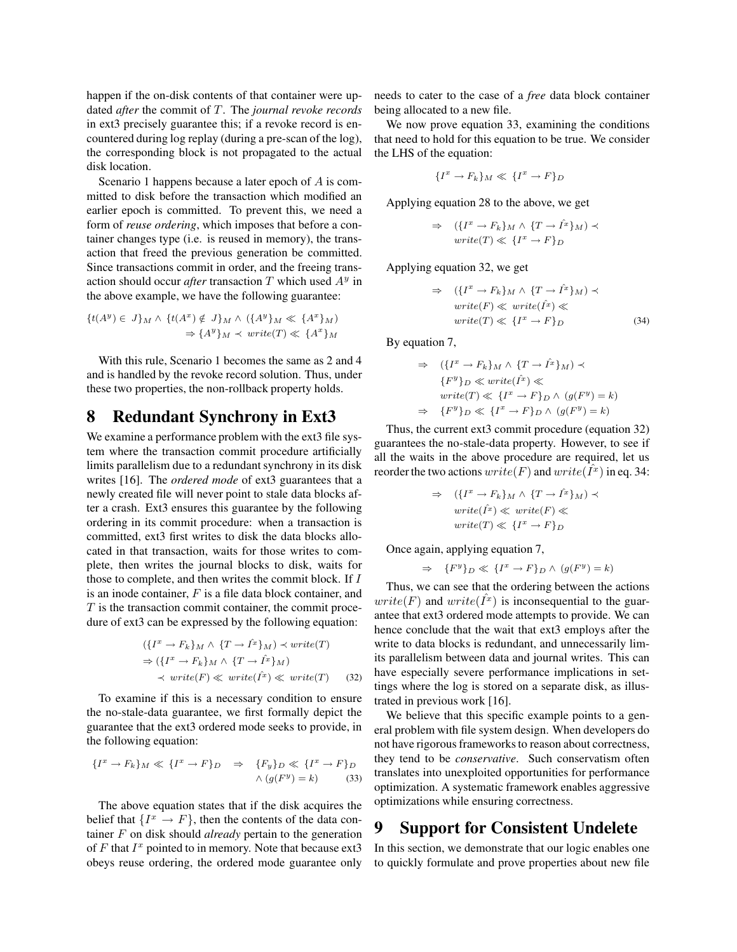happen if the on-disk contents of that container were updated *after* the commit of T. The *journal revoke records* in ext3 precisely guarantee this; if a revoke record is encountered during log replay (during a pre-scan of the log), the corresponding block is not propagated to the actual disk location.

Scenario 1 happens because a later epoch of A is committed to disk before the transaction which modified an earlier epoch is committed. To prevent this, we need a form of *reuse ordering*, which imposes that before a container changes type (i.e. is reused in memory), the transaction that freed the previous generation be committed. Since transactions commit in order, and the freeing transaction should occur *after* transaction  $T$  which used  $A<sup>y</sup>$  in the above example, we have the following guarantee:

$$
{t(A^y) \in J}_M \wedge {t(A^x) \notin J}_M \wedge ({A^y})_M \ll {A^x}_M)
$$
  

$$
\Rightarrow {A^y}_M \prec write(T) \ll {A^x}_M
$$

With this rule, Scenario 1 becomes the same as 2 and 4 and is handled by the revoke record solution. Thus, under these two properties, the non-rollback property holds.

## **8 Redundant Synchrony in Ext3**

We examine a performance problem with the ext3 file system where the transaction commit procedure artificially limits parallelism due to a redundant synchrony in its disk writes [16]. The *ordered mode* of ext3 guarantees that a newly created file will never point to stale data blocks after a crash. Ext3 ensures this guarantee by the following ordering in its commit procedure: when a transaction is committed, ext3 first writes to disk the data blocks allocated in that transaction, waits for those writes to complete, then writes the journal blocks to disk, waits for those to complete, and then writes the commit block. If I is an inode container,  $F$  is a file data block container, and  $T$  is the transaction commit container, the commit procedure of ext3 can be expressed by the following equation:

$$
(\{I^x \to F_k\}_M \land \{T \to \hat{I}^x\}_M) \prec write(T)
$$
  
\n
$$
\Rightarrow (\{I^x \to F_k\}_M \land \{T \to \hat{I}^x\}_M)
$$
  
\n
$$
\prec write(F) \ll write(\hat{I}^x) \ll write(T) \qquad (32)
$$

To examine if this is a necessary condition to ensure the no-stale-data guarantee, we first formally depict the guarantee that the ext3 ordered mode seeks to provide, in the following equation:

$$
\{I^x \to F_k\}_M \ll \{I^x \to F\}_D \Rightarrow \{F_y\}_D \ll \{I^x \to F\}_D
$$
  
 
$$
\wedge \left(g(F^y) = k\right) \tag{33}
$$

The above equation states that if the disk acquires the belief that  $\{I^x \to F\}$ , then the contents of the data container F on disk should *already* pertain to the generation of  $F$  that  $I^x$  pointed to in memory. Note that because ext3 obeys reuse ordering, the ordered mode guarantee only

needs to cater to the case of a *free* data block container being allocated to a new file.

We now prove equation 33, examining the conditions that need to hold for this equation to be true. We consider the LHS of the equation:

$$
\{I^x \to F_k\}_M \ll \{I^x \to F\}_D
$$

Applying equation 28 to the above, we get

$$
\Rightarrow (\{I^x \to F_k\}_M \land \{T \to \hat{I}^x\}_M) \prec
$$
  
write(T)  $\ll \{I^x \to F\}_D$ 

Applying equation 32, we get

$$
\Rightarrow (\{I^x \to F_k\}_M \land \{T \to \hat{I}^x\}_M) \prec
$$
  
\n
$$
write(F) \ll write(\hat{I}^x) \ll
$$
  
\n
$$
write(T) \ll \{I^x \to F\}_D
$$
 (34)

By equation 7,

$$
\Rightarrow (\lbrace I^x \to F_k \rbrace_M \land \lbrace T \to I^x \rbrace_M) \prec
$$
  

$$
\lbrace F^y \rbrace_D \ll write(\hat{I}^x) \ll
$$
  

$$
write(T) \ll \lbrace I^x \to F \rbrace_D \land (g(F^y) = k)
$$
  

$$
\Rightarrow \lbrace F^y \rbrace_D \ll \lbrace I^x \to F \rbrace_D \land (g(F^y) = k)
$$

Thus, the current ext3 commit procedure (equation 32) guarantees the no-stale-data property. However, to see if all the waits in the above procedure are required, let us reorder the two actions  $write(F)$  and  $write(\hat{I}^x)$  in eq. 34:

$$
\Rightarrow (\{I^x \to F_k\}_M \land \{T \to I^x\}_M) \prec
$$
  
\n
$$
write(\hat{I}^x) \ll write(F) \ll
$$
  
\n
$$
write(T) \ll \{I^x \to F\}_D
$$

Once again, applying equation 7,

$$
\Rightarrow \{F^y\}_D \ll \{I^x \to F\}_D \land (g(F^y) = k)
$$

Thus, we can see that the ordering between the actions  $write(F)$  and  $write(\hat{I}^x)$  is inconsequential to the guarantee that ext3 ordered mode attempts to provide. We can hence conclude that the wait that ext3 employs after the write to data blocks is redundant, and unnecessarily limits parallelism between data and journal writes. This can have especially severe performance implications in settings where the log is stored on a separate disk, as illustrated in previous work [16].

We believe that this specific example points to a general problem with file system design. When developers do not have rigorous frameworks to reason about correctness, they tend to be *conservative*. Such conservatism often translates into unexploited opportunities for performance optimization. A systematic framework enables aggressive optimizations while ensuring correctness.

## **9 Support for Consistent Undelete**

In this section, we demonstrate that our logic enables one to quickly formulate and prove properties about new file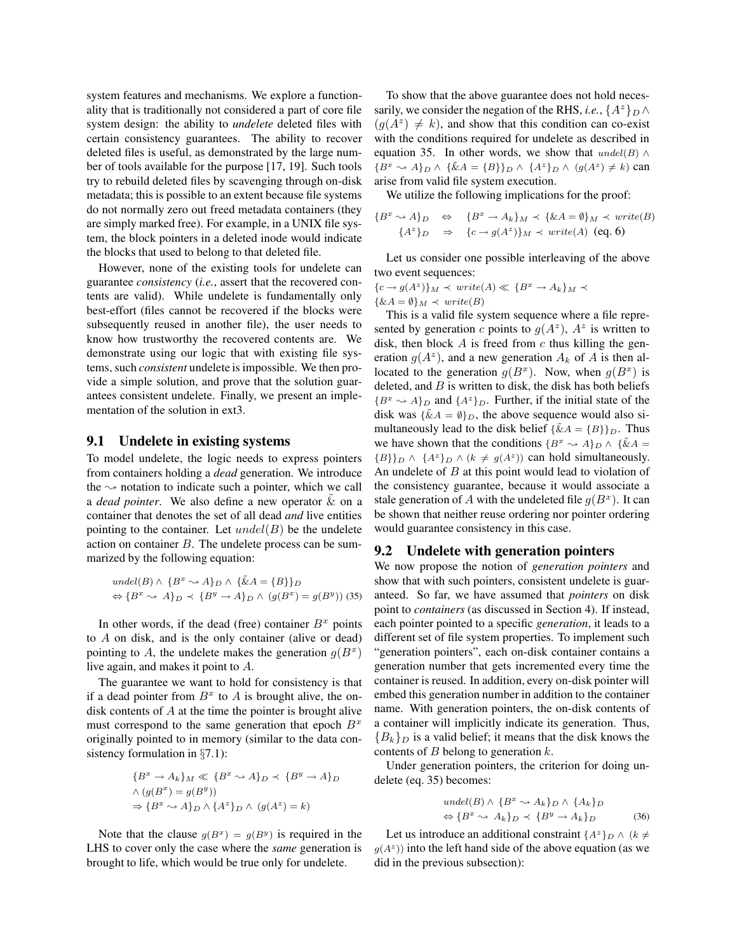system features and mechanisms. We explore a functionality that is traditionally not considered a part of core file system design: the ability to *undelete* deleted files with certain consistency guarantees. The ability to recover deleted files is useful, as demonstrated by the large number of tools available for the purpose [17, 19]. Such tools try to rebuild deleted files by scavenging through on-disk metadata; this is possible to an extent because file systems do not normally zero out freed metadata containers (they are simply marked free). For example, in a UNIX file system, the block pointers in a deleted inode would indicate the blocks that used to belong to that deleted file.

However, none of the existing tools for undelete can guarantee *consistency* (*i.e.*, assert that the recovered contents are valid). While undelete is fundamentally only best-effort (files cannot be recovered if the blocks were subsequently reused in another file), the user needs to know how trustworthy the recovered contents are. We demonstrate using our logic that with existing file systems, such *consistent* undelete is impossible. We then provide a simple solution, and prove that the solution guarantees consistent undelete. Finally, we present an implementation of the solution in ext3.

#### **9.1 Undelete in existing systems**

To model undelete, the logic needs to express pointers from containers holding a *dead* generation. We introduce the  $\sim$  notation to indicate such a pointer, which we call a *dead pointer*. We also define a new operator  $\&$  on a container that denotes the set of all dead *and* live entities pointing to the container. Let  $undel(B)$  be the undelete action on container  $B$ . The undelete process can be summarized by the following equation:

$$
undel(B) \land \{B^x \sim A\}_D \land \{\tilde{\&}A = \{B\}\}_D
$$
  

$$
\Leftrightarrow \{B^x \sim A\}_D \prec \{B^y \to A\}_D \land (g(B^x) = g(B^y))
$$
(35)

In other words, if the dead (free) container  $B<sup>x</sup>$  points to A on disk, and is the only container (alive or dead) pointing to A, the undelete makes the generation  $g(B^x)$ live again, and makes it point to A.

The guarantee we want to hold for consistency is that if a dead pointer from  $B<sup>x</sup>$  to A is brought alive, the ondisk contents of A at the time the pointer is brought alive must correspond to the same generation that epoch  $B<sup>x</sup>$ originally pointed to in memory (similar to the data consistency formulation in §7.1):

$$
{B^x \to A_k}_M \ll {B^x \sim A}_D \prec {B^y \to A}_D
$$
  

$$
\land (g(B^x) = g(B^y))
$$
  

$$
\Rightarrow {B^x \sim A}_D \land {A^z}_D \land (g(A^z) = k)
$$

Note that the clause  $g(B^x) = g(B^y)$  is required in the LHS to cover only the case where the *same* generation is brought to life, which would be true only for undelete.

To show that the above guarantee does not hold necessarily, we consider the negation of the RHS, *i.e.*,  $\{A^z\}_D \wedge$  $(g(A^z) \neq k)$ , and show that this condition can co-exist with the conditions required for undelete as described in equation 35. In other words, we show that  $undel(B) \wedge$  ${B^x \leadsto A}_D \wedge {\tilde{\&}A = {B}_D \wedge {A^z}_D \wedge (g(A^z) \neq k)$  can arise from valid file system execution.

We utilize the following implications for the proof:

$$
\{B^x \leadsto A\}_D \quad \Leftrightarrow \quad \{B^x \rightarrow A_k\}_M \prec \{\& A = \emptyset\}_M \prec \text{write}(B)
$$
\n
$$
\{A^z\}_D \quad \Rightarrow \quad \{c \rightarrow g(A^z)\}_M \prec \text{write}(A) \text{ (eq. 6)}
$$

Let us consider one possible interleaving of the above two event sequences:

$$
\{c \to g(A^z)\}_M \prec write(A) \ll \{B^x \to A_k\}_M \prec
$$
  

$$
\{\&A = \emptyset\}_M \prec write(B)
$$

This is a valid file system sequence where a file represented by generation c points to  $g(A^z)$ ,  $A^z$  is written to disk, then block  $A$  is freed from  $c$  thus killing the generation  $g(A^z)$ , and a new generation  $A_k$  of A is then allocated to the generation  $g(B^x)$ . Now, when  $g(B^x)$  is deleted, and  $B$  is written to disk, the disk has both beliefs  ${B^x \sim A}_D$  and  ${A^z}_D$ . Further, if the initial state of the disk was  $\{\tilde{\&}A = \emptyset\}_D$ , the above sequence would also simultaneously lead to the disk belief  $\{\tilde{\&}A = \{B\}\}_D$ . Thus we have shown that the conditions  ${B^x \rightsquigarrow A}_D \wedge {\tilde{\&}} A =$  ${B}$ <sub>D</sub>  $\wedge$  { $A^z$ }<sub>D</sub>  $\wedge$  ( $k \neq g(A^z)$ ) can hold simultaneously. An undelete of  $B$  at this point would lead to violation of the consistency guarantee, because it would associate a stale generation of A with the undeleted file  $g(B^x)$ . It can be shown that neither reuse ordering nor pointer ordering would guarantee consistency in this case.

### **9.2 Undelete with generation pointers**

We now propose the notion of *generation pointers* and show that with such pointers, consistent undelete is guaranteed. So far, we have assumed that *pointers* on disk point to *containers* (as discussed in Section 4). If instead, each pointer pointed to a specific *generation*, it leads to a different set of file system properties. To implement such "generation pointers", each on-disk container contains a generation number that gets incremented every time the container is reused. In addition, every on-disk pointer will embed this generation number in addition to the container name. With generation pointers, the on-disk contents of a container will implicitly indicate its generation. Thus,  ${B_k}_D$  is a valid belief; it means that the disk knows the contents of  $B$  belong to generation  $k$ .

Under generation pointers, the criterion for doing undelete (eq. 35) becomes:

$$
undel(B) \wedge \{B^x \sim A_k\}_D \wedge \{A_k\}_D
$$
  

$$
\Leftrightarrow \{B^x \sim A_k\}_D \prec \{B^y \to A_k\}_D
$$
 (36)

Let us introduce an additional constraint  $\{A^z\}_D \wedge (k \neq$  $g(A^z)$ ) into the left hand side of the above equation (as we did in the previous subsection):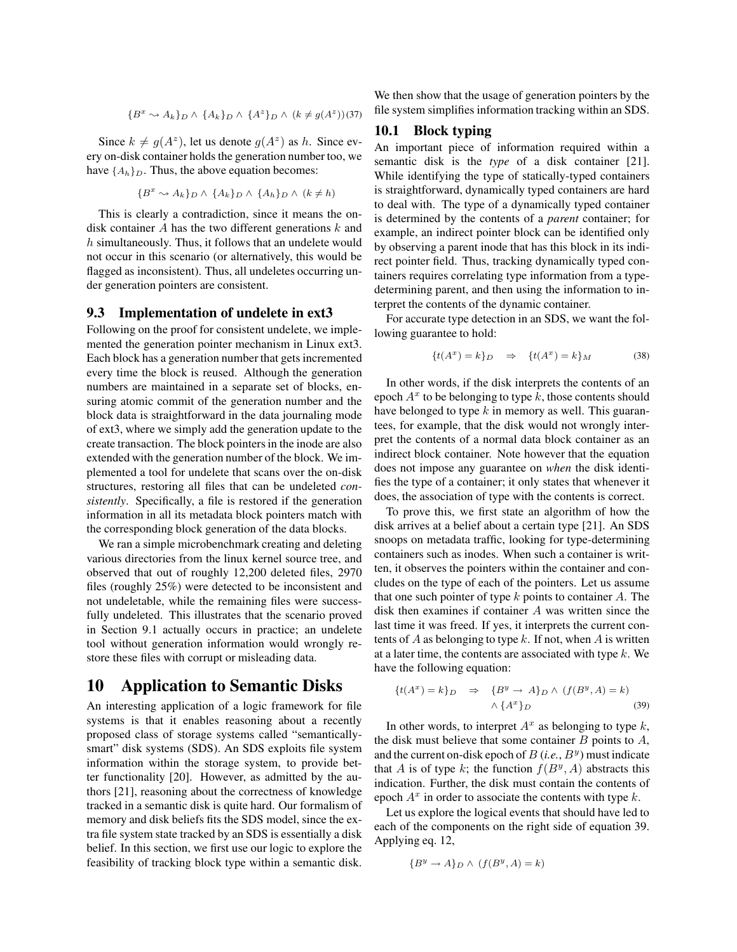$$
\{B^x \leadsto A_k\}_D \land \{A_k\}_D \land \{A^z\}_D \land (k \neq g(A^z))(37)
$$

Since  $k \neq g(A^z)$ , let us denote  $g(A^z)$  as h. Since every on-disk container holds the generation number too, we have  $\{A_h\}_D$ . Thus, the above equation becomes:

$$
\{B^x \leadsto A_k\}_D \land \{A_k\}_D \land \{A_h\}_D \land (k \neq h)
$$

This is clearly a contradiction, since it means the ondisk container  $A$  has the two different generations  $k$  and h simultaneously. Thus, it follows that an undelete would not occur in this scenario (or alternatively, this would be flagged as inconsistent). Thus, all undeletes occurring under generation pointers are consistent.

#### **9.3 Implementation of undelete in ext3**

Following on the proof for consistent undelete, we implemented the generation pointer mechanism in Linux ext3. Each block has a generation number that gets incremented every time the block is reused. Although the generation numbers are maintained in a separate set of blocks, ensuring atomic commit of the generation number and the block data is straightforward in the data journaling mode of ext3, where we simply add the generation update to the create transaction. The block pointersin the inode are also extended with the generation number of the block. We implemented a tool for undelete that scans over the on-disk structures, restoring all files that can be undeleted *consistently*. Specifically, a file is restored if the generation information in all its metadata block pointers match with the corresponding block generation of the data blocks.

We ran a simple microbenchmark creating and deleting various directories from the linux kernel source tree, and observed that out of roughly 12,200 deleted files, 2970 files (roughly 25%) were detected to be inconsistent and not undeletable, while the remaining files were successfully undeleted. This illustrates that the scenario proved in Section 9.1 actually occurs in practice; an undelete tool without generation information would wrongly restore these files with corrupt or misleading data.

## **10 Application to Semantic Disks**

An interesting application of a logic framework for file systems is that it enables reasoning about a recently proposed class of storage systems called "semanticallysmart" disk systems (SDS). An SDS exploits file system information within the storage system, to provide better functionality [20]. However, as admitted by the authors [21], reasoning about the correctness of knowledge tracked in a semantic disk is quite hard. Our formalism of memory and disk beliefs fits the SDS model, since the extra file system state tracked by an SDS is essentially a disk belief. In this section, we first use our logic to explore the feasibility of tracking block type within a semantic disk.

We then show that the usage of generation pointers by the file system simplifies information tracking within an SDS.

### **10.1 Block typing**

An important piece of information required within a semantic disk is the *type* of a disk container [21]. While identifying the type of statically-typed containers is straightforward, dynamically typed containers are hard to deal with. The type of a dynamically typed container is determined by the contents of a *parent* container; for example, an indirect pointer block can be identified only by observing a parent inode that has this block in its indirect pointer field. Thus, tracking dynamically typed containers requires correlating type information from a typedetermining parent, and then using the information to interpret the contents of the dynamic container.

For accurate type detection in an SDS, we want the following guarantee to hold:

$$
\{t(A^x) = k\}_D \quad \Rightarrow \quad \{t(A^x) = k\}_M \tag{38}
$$

In other words, if the disk interprets the contents of an epoch  $A^x$  to be belonging to type k, those contents should have belonged to type  $k$  in memory as well. This guarantees, for example, that the disk would not wrongly interpret the contents of a normal data block container as an indirect block container. Note however that the equation does not impose any guarantee on *when* the disk identifies the type of a container; it only states that whenever it does, the association of type with the contents is correct.

To prove this, we first state an algorithm of how the disk arrives at a belief about a certain type [21]. An SDS snoops on metadata traffic, looking for type-determining containers such as inodes. When such a container is written, it observes the pointers within the container and concludes on the type of each of the pointers. Let us assume that one such pointer of type  $k$  points to container  $A$ . The disk then examines if container A was written since the last time it was freed. If yes, it interprets the current contents of A as belonging to type k. If not, when A is written at a later time, the contents are associated with type  $k$ . We have the following equation:

$$
\{t(A^{x}) = k\}_{D} \Rightarrow \{B^{y} \rightarrow A\}_{D} \wedge (f(B^{y}, A) = k)
$$

$$
\wedge \{A^{x}\}_{D}
$$
(39)

In other words, to interpret  $A^x$  as belonging to type  $k$ , the disk must believe that some container  $B$  points to  $A$ , and the current on-disk epoch of  $B(i.e., B<sup>y</sup>)$  must indicate that A is of type k; the function  $f(B^y, A)$  abstracts this indication. Further, the disk must contain the contents of epoch  $A^x$  in order to associate the contents with type k.

Let us explore the logical events that should have led to each of the components on the right side of equation 39. Applying eq. 12,

$$
\{B^y \to A\}_D \wedge (f(B^y, A) = k)
$$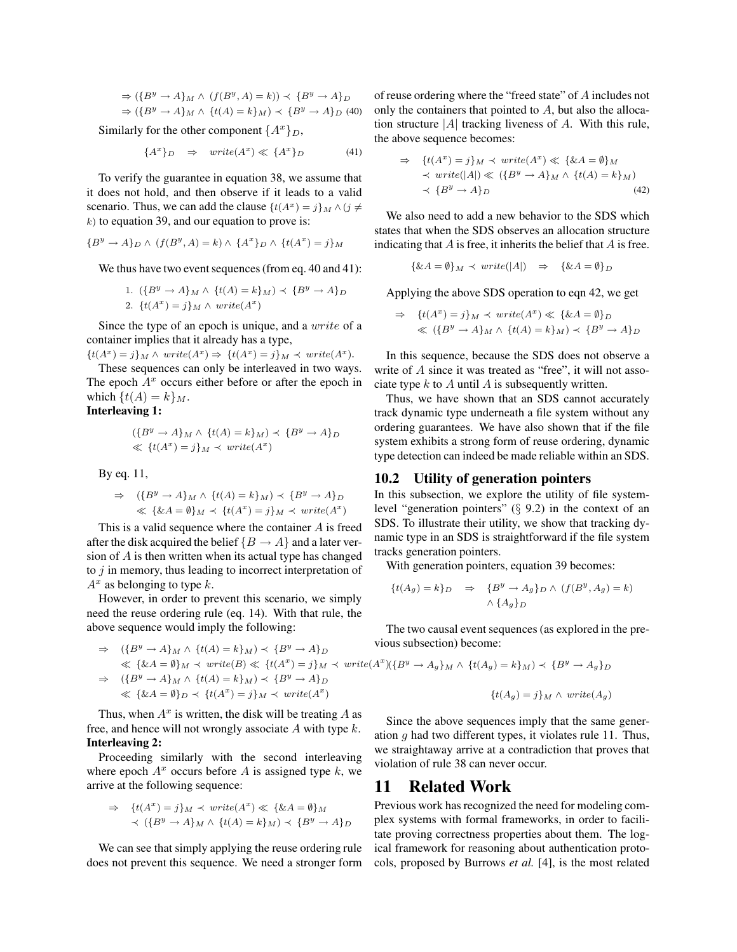$$
\Rightarrow (\{B^y \to A\}_M \land (f(B^y, A) = k)) \prec \{B^y \to A\}_D
$$
  

$$
\Rightarrow (\{B^y \to A\}_M \land \{t(A) = k\}_M) \prec \{B^y \to A\}_D \quad (40)
$$

Similarly for the other component  $\{A^x\}_D$ ,

$$
\{A^x\}_D \quad \Rightarrow \quad write(A^x) \ll \{A^x\}_D \tag{41}
$$

To verify the guarantee in equation 38, we assume that it does not hold, and then observe if it leads to a valid scenario. Thus, we can add the clause  $\{t(A^x) = j\}_M \wedge (j \neq j)$  $k$ ) to equation 39, and our equation to prove is:

$$
\{B^y \to A\}_D \wedge (f(B^y, A) = k) \wedge \{A^x\}_D \wedge \{t(A^x) = j\}_M
$$

We thus have two event sequences (from eq.  $40$  and  $41$ ):

1. 
$$
\{B^y \to A\}_M \wedge \{t(A) = k\}_M \rangle \prec \{B^y \to A\}_D
$$
  
2. 
$$
\{t(A^x) = j\}_M \wedge write(A^x)
$$

Since the type of an epoch is unique, and a write of a container implies that it already has a type,

 $\{t(A^x) = j\}_M \wedge write(A^x) \Rightarrow \{t(A^x) = j\}_M \prec write(A^x).$ 

These sequences can only be interleaved in two ways. The epoch  $A<sup>x</sup>$  occurs either before or after the epoch in which  $\{t(A) = k\}_M$ .

### **Interleaving 1:**

$$
(\{B^y \to A\}_M \land \{t(A) = k\}_M) \prec \{B^y \to A\}_D
$$
  

$$
\ll \{t(A^x) = j\}_M \prec write(A^x)
$$

By eq. 11,

$$
\Rightarrow (\{B^y \to A\}_M \land \{t(A) = k\}_M) \prec \{B^y \to A\}_D
$$
  

$$
\ll \{\&A = \emptyset\}_M \prec \{t(A^x) = j\}_M \prec write(A^x)
$$

This is a valid sequence where the container  $A$  is freed after the disk acquired the belief  ${B \to A}$  and a later version of  $A$  is then written when its actual type has changed to  $j$  in memory, thus leading to incorrect interpretation of  $A^x$  as belonging to type k.

However, in order to prevent this scenario, we simply need the reuse ordering rule (eq. 14). With that rule, the above sequence would imply the following:

$$
\Rightarrow (\{B^y \to A\}_M \land \{t(A) = k\}_M) \prec \{B^y \to A\}_D
$$
\n
$$
\Leftrightarrow \{ \&A = \emptyset \}_M \prec write(B) \ll \{ t(A^x) = j \}_M \prec write(A^x) (\{B^y \to A_g\}_M \land \{t(A_g) = k\}_M) \prec \{B^y \to A_g\}_D
$$
\n
$$
\Rightarrow (\{B^y \to A\}_M \land \{t(A) = k\}_M) \prec \{B^y \to A\}_D
$$
\n
$$
\ll \{ \&A = \emptyset \}_D \prec \{t(A^x) = j\}_M \prec write(A^x)
$$
\n
$$
\{t(A_g) = j\}_M \land write(A_g)
$$

Thus, when  $A^x$  is written, the disk will be treating A as free, and hence will not wrongly associate  $A$  with type  $k$ . **Interleaving 2:**

Proceeding similarly with the second interleaving where epoch  $A^x$  occurs before A is assigned type k, we arrive at the following sequence:

$$
\Rightarrow \quad \{t(A^x) = j\}_M \prec write(A^x) \ll \{\& A = \emptyset\}_M
$$
  
 
$$
\prec (\{B^y \rightarrow A\}_M \land \{t(A) = k\}_M) \prec \{B^y \rightarrow A\}_D
$$

We can see that simply applying the reuse ordering rule does not prevent this sequence. We need a stronger form

of reuse ordering where the "freed state" of A includes not only the containers that pointed to A, but also the allocation structure  $|A|$  tracking liveness of A. With this rule, the above sequence becomes:

$$
\Rightarrow \quad \{t(A^x) = j\}_M \prec write(A^x) \ll \{\& A = \emptyset\}_M
$$
  
 
$$
\prec write(|A|) \ll (\{B^y \to A\}_M \land \{t(A) = k\}_M)
$$
  
 
$$
\prec \{B^y \to A\}_D
$$
 (42)

We also need to add a new behavior to the SDS which states that when the SDS observes an allocation structure indicating that  $A$  is free, it inherits the belief that  $A$  is free.

$$
\{\& A = \emptyset\}_M \prec \text{write}(|A|) \Rightarrow \{\& A = \emptyset\}_D
$$

Applying the above SDS operation to eqn 42, we get

$$
\Rightarrow \quad \{t(A^x) = j\}_M \prec write(A^x) \ll \{\& A = \emptyset\}_D
$$
  

$$
\ll (\{B^y \rightarrow A\}_M \land \{t(A) = k\}_M) \prec \{B^y \rightarrow A\}_D
$$

In this sequence, because the SDS does not observe a write of A since it was treated as "free", it will not associate type  $k$  to  $A$  until  $A$  is subsequently written.

Thus, we have shown that an SDS cannot accurately track dynamic type underneath a file system without any ordering guarantees. We have also shown that if the file system exhibits a strong form of reuse ordering, dynamic type detection can indeed be made reliable within an SDS.

## **10.2 Utility of generation pointers**

In this subsection, we explore the utility of file systemlevel "generation pointers" (§ 9.2) in the context of an SDS. To illustrate their utility, we show that tracking dynamic type in an SDS is straightforward if the file system tracks generation pointers.

With generation pointers, equation 39 becomes:

$$
\{t(A_g) = k\}_D \Rightarrow \{B^y \to A_g\}_D \land (f(B^y, A_g) = k)
$$

$$
\land \{A_g\}_D
$$

The two causal event sequences (as explored in the previous subsection) become:

Since the above sequences imply that the same generation  $q$  had two different types, it violates rule 11. Thus, we straightaway arrive at a contradiction that proves that violation of rule 38 can never occur.

## **11 Related Work**

Previous work has recognized the need for modeling complex systems with formal frameworks, in order to facilitate proving correctness properties about them. The logical framework for reasoning about authentication protocols, proposed by Burrows *et al.* [4], is the most related